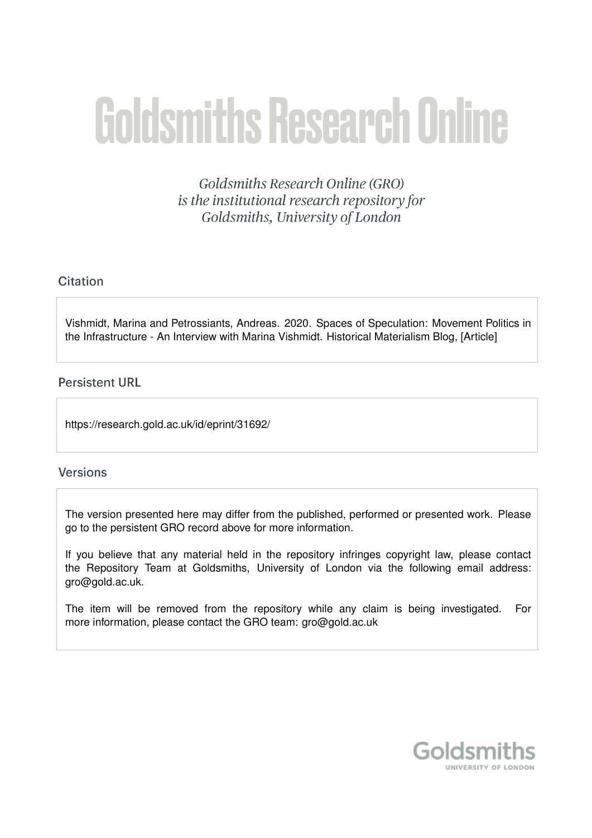# **Goldsmiths Research Online**

Goldsmiths Research Online (GRO) is the institutional research repository for Goldsmiths, University of London

# Citation

Vishmidt, Marina and Petrossiants, Andreas. 2020. Spaces of Speculation: Movement Politics in the Infrastructure - An Interview with Marina Vishmidt. Historical Materialism Blog, [Article]

# **Persistent URL**

https://research.gold.ac.uk/id/eprint/31692/

## **Versions**

The version presented here may differ from the published, performed or presented work. Please go to the persistent GRO record above for more information.

If you believe that any material held in the repository infringes copyright law, please contact the Repository Team at Goldsmiths, University of London via the following email address: gro@gold.ac.uk.

The item will be removed from the repository while any claim is being investigated. For more information, please contact the GRO team: gro@gold.ac.uk

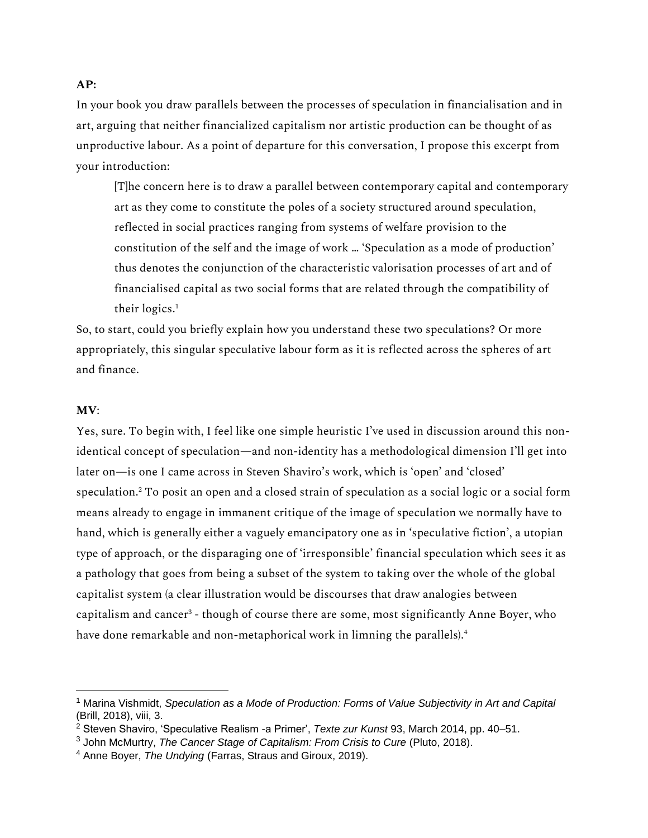### **AP:**

In your book you draw parallels between the processes of speculation in financialisation and in art, arguing that neither financialized capitalism nor artistic production can be thought of as unproductive labour. As a point of departure for this conversation, I propose this excerpt from your introduction:

[T]he concern here is to draw a parallel between contemporary capital and contemporary art as they come to constitute the poles of a society structured around speculation, reflected in social practices ranging from systems of welfare provision to the constitution of the self and the image of work … 'Speculation as a mode of production' thus denotes the conjunction of the characteristic valorisation processes of art and of financialised capital as two social forms that are related through the compatibility of their logics.<sup>1</sup>

So, to start, could you briefly explain how you understand these two speculations? Or more appropriately, this singular speculative labour form as it is reflected across the spheres of art and finance.

## **MV**:

Yes, sure. To begin with, I feel like one simple heuristic I've used in discussion around this nonidentical concept of speculation—and non-identity has a methodological dimension I'll get into later on—is one I came across in Steven Shaviro's work, which is 'open' and 'closed' speculation.<sup>2</sup> To posit an open and a closed strain of speculation as a social logic or a social form means already to engage in immanent critique of the image of speculation we normally have to hand, which is generally either a vaguely emancipatory one as in 'speculative fiction', a utopian type of approach, or the disparaging one of 'irresponsible' financial speculation which sees it as a pathology that goes from being a subset of the system to taking over the whole of the global capitalist system (a clear illustration would be discourses that draw analogies between capitalism and cancer<sup>3</sup> - though of course there are some, most significantly Anne Boyer, who have done remarkable and non-metaphorical work in limning the parallels).<sup>4</sup>

<sup>1</sup> Marina Vishmidt, *Speculation as a Mode of Production: Forms of Value Subjectivity in Art and Capital* (Brill, 2018), viii, 3.

<sup>2</sup> Steven Shaviro, 'Speculative Realism -a Primer', *Texte zur Kunst* 93, March 2014, pp. 40–51.

<sup>3</sup> John McMurtry, *The Cancer Stage of Capitalism: From Crisis to Cure* (Pluto, 2018).

<sup>4</sup> Anne Boyer, *The Undying* (Farras, Straus and Giroux, 2019).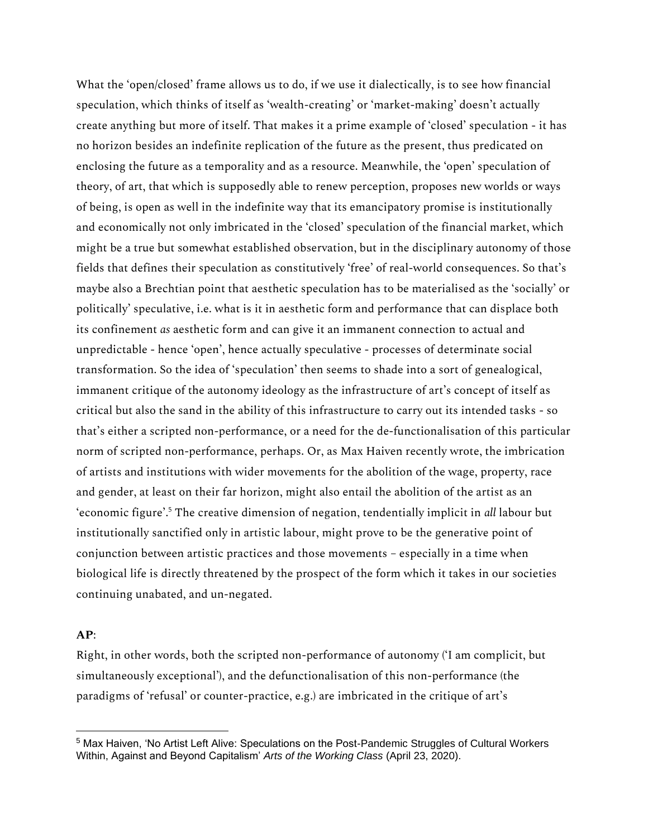What the 'open/closed' frame allows us to do, if we use it dialectically, is to see how financial speculation, which thinks of itself as 'wealth-creating' or 'market-making' doesn't actually create anything but more of itself. That makes it a prime example of 'closed' speculation - it has no horizon besides an indefinite replication of the future as the present, thus predicated on enclosing the future as a temporality and as a resource. Meanwhile, the 'open' speculation of theory, of art, that which is supposedly able to renew perception, proposes new worlds or ways of being, is open as well in the indefinite way that its emancipatory promise is institutionally and economically not only imbricated in the 'closed' speculation of the financial market, which might be a true but somewhat established observation, but in the disciplinary autonomy of those fields that defines their speculation as constitutively 'free' of real-world consequences. So that's maybe also a Brechtian point that aesthetic speculation has to be materialised as the 'socially' or politically' speculative, i.e. what is it in aesthetic form and performance that can displace both its confinement *as* aesthetic form and can give it an immanent connection to actual and unpredictable - hence 'open', hence actually speculative - processes of determinate social transformation. So the idea of 'speculation' then seems to shade into a sort of genealogical, immanent critique of the autonomy ideology as the infrastructure of art's concept of itself as critical but also the sand in the ability of this infrastructure to carry out its intended tasks - so that's either a scripted non-performance, or a need for the de-functionalisation of this particular norm of scripted non-performance, perhaps. Or, as Max Haiven recently wrote, the imbrication of artists and institutions with wider movements for the abolition of the wage, property, race and gender, at least on their far horizon, might also entail the abolition of the artist as an 'economic figure'.<sup>5</sup> The creative dimension of negation, tendentially implicit in *all* labour but institutionally sanctified only in artistic labour, might prove to be the generative point of conjunction between artistic practices and those movements – especially in a time when biological life is directly threatened by the prospect of the form which it takes in our societies continuing unabated, and un-negated.

## **AP**:

Right, in other words, both the scripted non-performance of autonomy ('I am complicit, but simultaneously exceptional'), and the defunctionalisation of this non-performance (the paradigms of 'refusal' or counter-practice, e.g.) are imbricated in the critique of art's

<sup>5</sup> Max Haiven, 'No Artist Left Alive: Speculations on the Post-Pandemic Struggles of Cultural Workers Within, Against and Beyond Capitalism' *Arts of the Working Class* (April 23, 2020).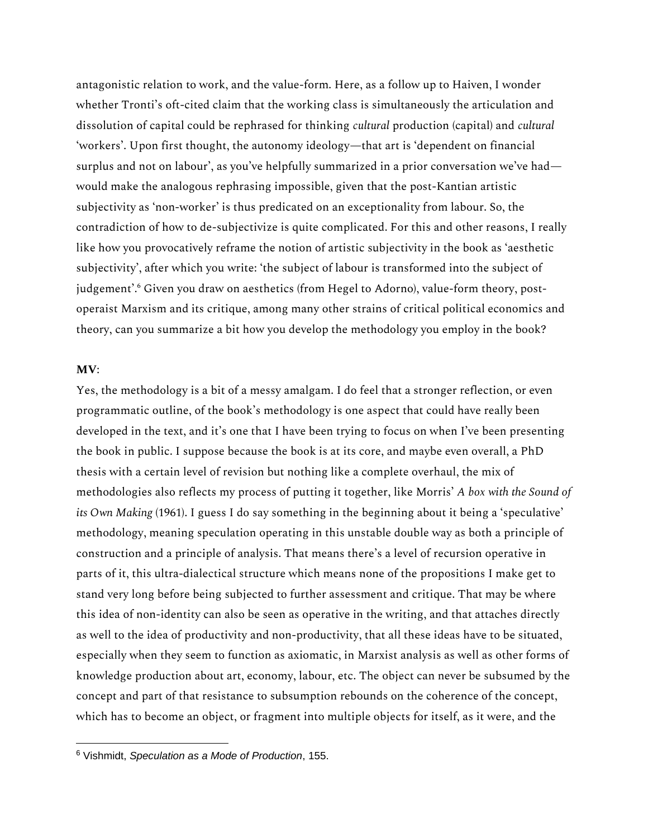antagonistic relation to work, and the value-form. Here, as a follow up to Haiven, I wonder whether Tronti's oft-cited claim that the working class is simultaneously the articulation and dissolution of capital could be rephrased for thinking *cultural* production (capital) and *cultural* 'workers'. Upon first thought, the autonomy ideology—that art is 'dependent on financial surplus and not on labour', as you've helpfully summarized in a prior conversation we've had would make the analogous rephrasing impossible, given that the post-Kantian artistic subjectivity as 'non-worker' is thus predicated on an exceptionality from labour. So, the contradiction of how to de-subjectivize is quite complicated. For this and other reasons, I really like how you provocatively reframe the notion of artistic subjectivity in the book as 'aesthetic subjectivity', after which you write: 'the subject of labour is transformed into the subject of judgement'.<sup>6</sup> Given you draw on aesthetics (from Hegel to Adorno), value-form theory, postoperaist Marxism and its critique, among many other strains of critical political economics and theory, can you summarize a bit how you develop the methodology you employ in the book?

#### **MV**:

Yes, the methodology is a bit of a messy amalgam. I do feel that a stronger reflection, or even programmatic outline, of the book's methodology is one aspect that could have really been developed in the text, and it's one that I have been trying to focus on when I've been presenting the book in public. I suppose because the book is at its core, and maybe even overall, a PhD thesis with a certain level of revision but nothing like a complete overhaul, the mix of methodologies also reflects my process of putting it together, like Morris' *A box with the Sound of its Own Making* (1961). I guess I do say something in the beginning about it being a 'speculative' methodology, meaning speculation operating in this unstable double way as both a principle of construction and a principle of analysis. That means there's a level of recursion operative in parts of it, this ultra-dialectical structure which means none of the propositions I make get to stand very long before being subjected to further assessment and critique. That may be where this idea of non-identity can also be seen as operative in the writing, and that attaches directly as well to the idea of productivity and non-productivity, that all these ideas have to be situated, especially when they seem to function as axiomatic, in Marxist analysis as well as other forms of knowledge production about art, economy, labour, etc. The object can never be subsumed by the concept and part of that resistance to subsumption rebounds on the coherence of the concept, which has to become an object, or fragment into multiple objects for itself, as it were, and the

<sup>6</sup> Vishmidt, *Speculation as a Mode of Production*, 155.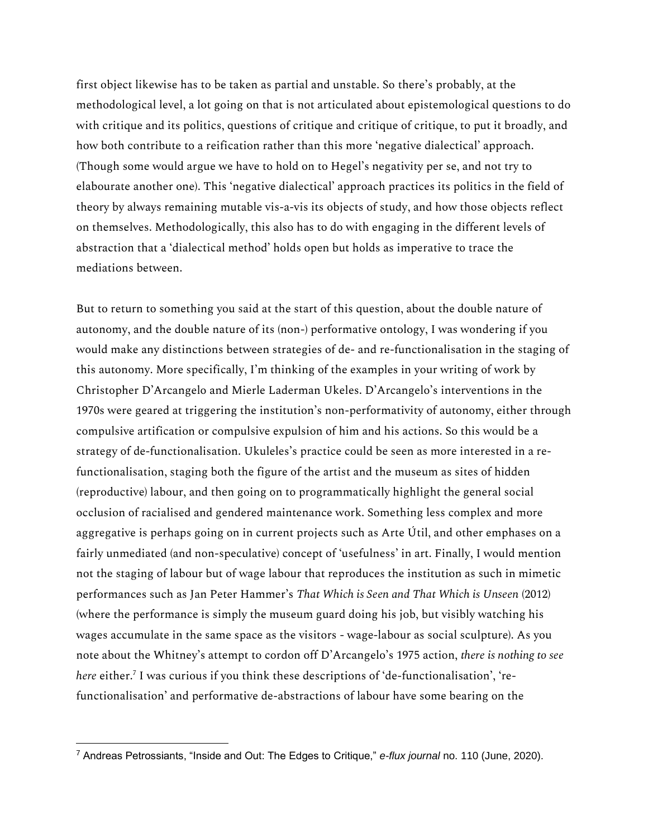first object likewise has to be taken as partial and unstable. So there's probably, at the methodological level, a lot going on that is not articulated about epistemological questions to do with critique and its politics, questions of critique and critique of critique, to put it broadly, and how both contribute to a reification rather than this more 'negative dialectical' approach. (Though some would argue we have to hold on to Hegel's negativity per se, and not try to elabourate another one). This 'negative dialectical' approach practices its politics in the field of theory by always remaining mutable vis-a-vis its objects of study, and how those objects reflect on themselves. Methodologically, this also has to do with engaging in the different levels of abstraction that a 'dialectical method' holds open but holds as imperative to trace the mediations between.

But to return to something you said at the start of this question, about the double nature of autonomy, and the double nature of its (non-) performative ontology, I was wondering if you would make any distinctions between strategies of de- and re-functionalisation in the staging of this autonomy. More specifically, I'm thinking of the examples in your writing of work by Christopher D'Arcangelo and Mierle Laderman Ukeles. D'Arcangelo's interventions in the 1970s were geared at triggering the institution's non-performativity of autonomy, either through compulsive artification or compulsive expulsion of him and his actions. So this would be a strategy of de-functionalisation. Ukuleles's practice could be seen as more interested in a refunctionalisation, staging both the figure of the artist and the museum as sites of hidden (reproductive) labour, and then going on to programmatically highlight the general social occlusion of racialised and gendered maintenance work. Something less complex and more aggregative is perhaps going on in current projects such as Arte Útil, and other emphases on a fairly unmediated (and non-speculative) concept of 'usefulness' in art. Finally, I would mention not the staging of labour but of wage labour that reproduces the institution as such in mimetic performances such as Jan Peter Hammer's *That Which is Seen and That Which is Unseen* (2012) (where the performance is simply the museum guard doing his job, but visibly watching his wages accumulate in the same space as the visitors - wage-labour as social sculpture). As you note about the Whitney's attempt to cordon off D'Arcangelo's 1975 action, *there is nothing to see here* either.<sup>7</sup> I was curious if you think these descriptions of 'de-functionalisation', 'refunctionalisation' and performative de-abstractions of labour have some bearing on the

<sup>7</sup> Andreas Petrossiants, "Inside and Out: The Edges to Critique," *e-flux journal* no. 110 (June, 2020).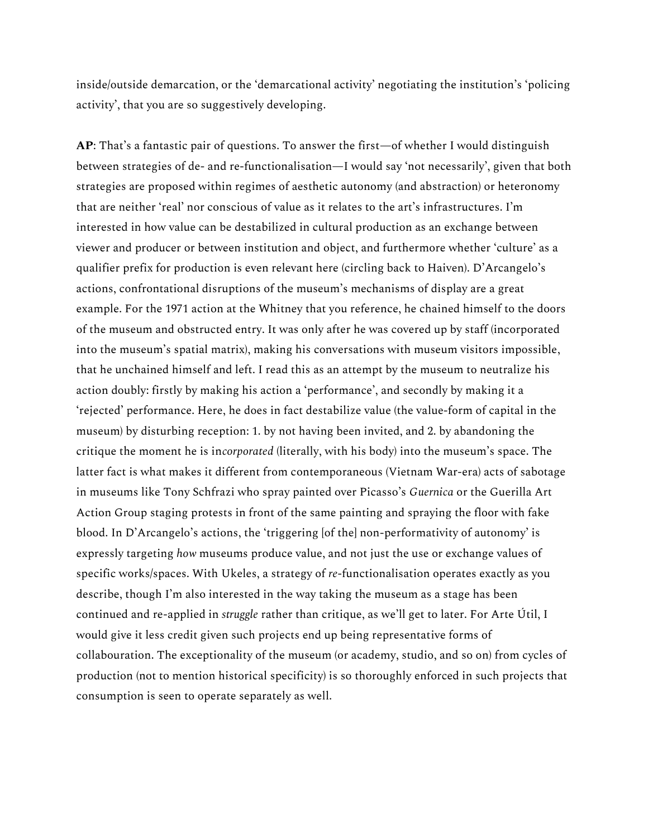inside/outside demarcation, or the 'demarcational activity' negotiating the institution's 'policing activity', that you are so suggestively developing.

**AP**: That's a fantastic pair of questions. To answer the first—of whether I would distinguish between strategies of de- and re-functionalisation—I would say 'not necessarily', given that both strategies are proposed within regimes of aesthetic autonomy (and abstraction) or heteronomy that are neither 'real' nor conscious of value as it relates to the art's infrastructures. I'm interested in how value can be destabilized in cultural production as an exchange between viewer and producer or between institution and object, and furthermore whether 'culture' as a qualifier prefix for production is even relevant here (circling back to Haiven). D'Arcangelo's actions, confrontational disruptions of the museum's mechanisms of display are a great example. For the 1971 action at the Whitney that you reference, he chained himself to the doors of the museum and obstructed entry. It was only after he was covered up by staff (incorporated into the museum's spatial matrix), making his conversations with museum visitors impossible, that he unchained himself and left. I read this as an attempt by the museum to neutralize his action doubly: firstly by making his action a 'performance', and secondly by making it a 'rejected' performance. Here, he does in fact destabilize value (the value-form of capital in the museum) by disturbing reception: 1. by not having been invited, and 2. by abandoning the critique the moment he is in*corporated* (literally, with his body) into the museum's space. The latter fact is what makes it different from contemporaneous (Vietnam War-era) acts of sabotage in museums like Tony Schfrazi who spray painted over Picasso's *Guernica* or the Guerilla Art Action Group staging protests in front of the same painting and spraying the floor with fake blood. In D'Arcangelo's actions, the 'triggering [of the] non-performativity of autonomy' is expressly targeting *how* museums produce value, and not just the use or exchange values of specific works/spaces. With Ukeles, a strategy of *re*-functionalisation operates exactly as you describe, though I'm also interested in the way taking the museum as a stage has been continued and re-applied in *struggle* rather than critique, as we'll get to later. For Arte Útil, I would give it less credit given such projects end up being representative forms of collabouration. The exceptionality of the museum (or academy, studio, and so on) from cycles of production (not to mention historical specificity) is so thoroughly enforced in such projects that consumption is seen to operate separately as well.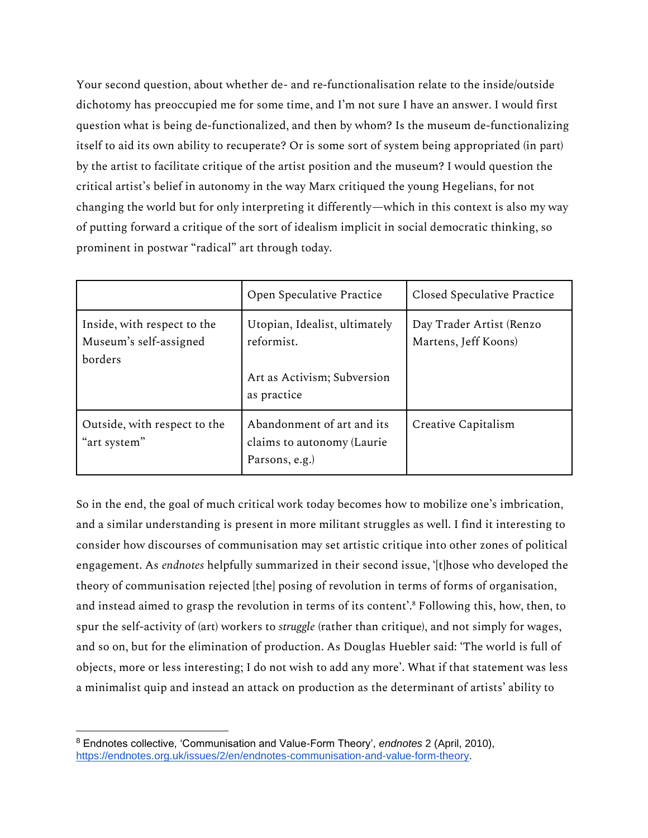Your second question, about whether de- and re-functionalisation relate to the inside/outside dichotomy has preoccupied me for some time, and I'm not sure I have an answer. I would first question what is being de-functionalized, and then by whom? Is the museum de-functionalizing itself to aid its own ability to recuperate? Or is some sort of system being appropriated (in part) by the artist to facilitate critique of the artist position and the museum? I would question the critical artist's belief in autonomy in the way Marx critiqued the young Hegelians, for not changing the world but for only interpreting it differently—which in this context is also my way of putting forward a critique of the sort of idealism implicit in social democratic thinking, so prominent in postwar "radical" art through today.

|                                                                  | Open Speculative Practice                                                                 | Closed Speculative Practice                      |
|------------------------------------------------------------------|-------------------------------------------------------------------------------------------|--------------------------------------------------|
| Inside, with respect to the<br>Museum's self-assigned<br>borders | Utopian, Idealist, ultimately<br>reformist.<br>Art as Activism; Subversion<br>as practice | Day Trader Artist (Renzo<br>Martens, Jeff Koons) |
| Outside, with respect to the<br>"art system"                     | Abandonment of art and its<br>claims to autonomy (Laurie<br>Parsons, e.g.)                | Creative Capitalism                              |

So in the end, the goal of much critical work today becomes how to mobilize one's imbrication, and a similar understanding is present in more militant struggles as well. I find it interesting to consider how discourses of communisation may set artistic critique into other zones of political engagement. As *endnotes* helpfully summarized in their second issue, '[t]hose who developed the theory of communisation rejected [the] posing of revolution in terms of forms of organisation, and instead aimed to grasp the revolution in terms of its content'.<sup>8</sup> Following this, how, then, to spur the self-activity of (art) workers to *struggle* (rather than critique), and not simply for wages, and so on, but for the elimination of production. As Douglas Huebler said: 'The world is full of objects, more or less interesting; I do not wish to add any more'. What if that statement was less a minimalist quip and instead an attack on production as the determinant of artists' ability to

<sup>8</sup> Endnotes collective, 'Communisation and Value-Form Theory', *endnotes* 2 (April, 2010), [https://endnotes.org.uk/issues/2/en/endnotes-communisation-and-value-form-theory.](https://endnotes.org.uk/issues/2/en/endnotes-communisation-and-value-form-theory)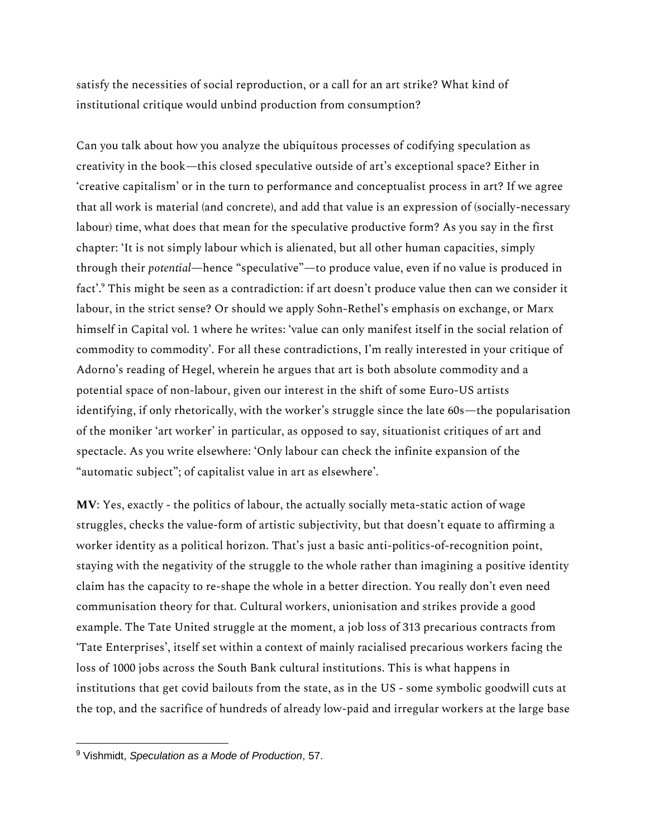satisfy the necessities of social reproduction, or a call for an art strike? What kind of institutional critique would unbind production from consumption?

Can you talk about how you analyze the ubiquitous processes of codifying speculation as creativity in the book—this closed speculative outside of art's exceptional space? Either in 'creative capitalism' or in the turn to performance and conceptualist process in art? If we agree that all work is material (and concrete), and add that value is an expression of (socially-necessary labour) time, what does that mean for the speculative productive form? As you say in the first chapter: 'It is not simply labour which is alienated, but all other human capacities, simply through their *potential*—hence "speculative"—to produce value, even if no value is produced in fact'.<sup>9</sup> This might be seen as a contradiction: if art doesn't produce value then can we consider it labour, in the strict sense? Or should we apply Sohn-Rethel's emphasis on exchange, or Marx himself in Capital vol. 1 where he writes: 'value can only manifest itself in the social relation of commodity to commodity'. For all these contradictions, I'm really interested in your critique of Adorno's reading of Hegel, wherein he argues that art is both absolute commodity and a potential space of non-labour, given our interest in the shift of some Euro-US artists identifying, if only rhetorically, with the worker's struggle since the late 60s—the popularisation of the moniker 'art worker' in particular, as opposed to say, situationist critiques of art and spectacle. As you write elsewhere: 'Only labour can check the infinite expansion of the "automatic subject"; of capitalist value in art as elsewhere'.

**MV**: Yes, exactly - the politics of labour, the actually socially meta-static action of wage struggles, checks the value-form of artistic subjectivity, but that doesn't equate to affirming a worker identity as a political horizon. That's just a basic anti-politics-of-recognition point, staying with the negativity of the struggle to the whole rather than imagining a positive identity claim has the capacity to re-shape the whole in a better direction. You really don't even need communisation theory for that. Cultural workers, unionisation and strikes provide a good example. The Tate United struggle at the moment, a job loss of 313 precarious contracts from 'Tate Enterprises', itself set within a context of mainly racialised precarious workers facing the loss of 1000 jobs across the South Bank cultural institutions. This is what happens in institutions that get covid bailouts from the state, as in the US - some symbolic goodwill cuts at the top, and the sacrifice of hundreds of already low-paid and irregular workers at the large base

<sup>9</sup> Vishmidt, *Speculation as a Mode of Production*, 57.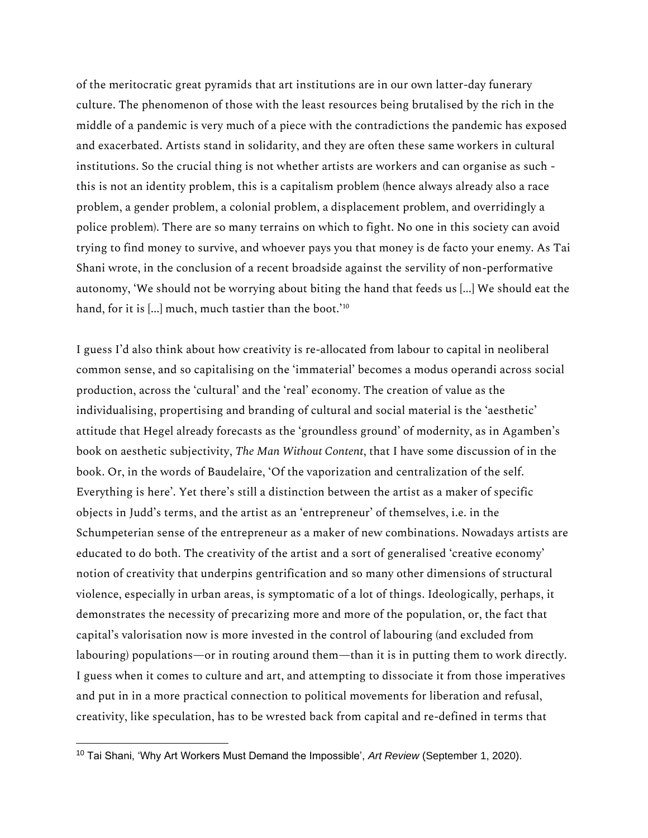of the meritocratic great pyramids that art institutions are in our own latter-day funerary culture. The phenomenon of those with the least resources being brutalised by the rich in the middle of a pandemic is very much of a piece with the contradictions the pandemic has exposed and exacerbated. Artists stand in solidarity, and they are often these same workers in cultural institutions. So the crucial thing is not whether artists are workers and can organise as such this is not an identity problem, this is a capitalism problem (hence always already also a race problem, a gender problem, a colonial problem, a displacement problem, and overridingly a police problem). There are so many terrains on which to fight. No one in this society can avoid trying to find money to survive, and whoever pays you that money is de facto your enemy. As Tai Shani wrote, in the conclusion of a recent broadside against the servility of non-performative autonomy, 'We should not be worrying about biting the hand that feeds us [...] We should eat the hand, for it is [...] much, much tastier than the boot.<sup>'10</sup>

I guess I'd also think about how creativity is re-allocated from labour to capital in neoliberal common sense, and so capitalising on the 'immaterial' becomes a modus operandi across social production, across the 'cultural' and the 'real' economy. The creation of value as the individualising, propertising and branding of cultural and social material is the 'aesthetic' attitude that Hegel already forecasts as the 'groundless ground' of modernity, as in Agamben's book on aesthetic subjectivity, *The Man Without Content*, that I have some discussion of in the book. Or, in the words of Baudelaire, 'Of the vaporization and centralization of the self. Everything is here'. Yet there's still a distinction between the artist as a maker of specific objects in Judd's terms, and the artist as an 'entrepreneur' of themselves, i.e. in the Schumpeterian sense of the entrepreneur as a maker of new combinations. Nowadays artists are educated to do both. The creativity of the artist and a sort of generalised 'creative economy' notion of creativity that underpins gentrification and so many other dimensions of structural violence, especially in urban areas, is symptomatic of a lot of things. Ideologically, perhaps, it demonstrates the necessity of precarizing more and more of the population, or, the fact that capital's valorisation now is more invested in the control of labouring (and excluded from labouring) populations—or in routing around them—than it is in putting them to work directly. I guess when it comes to culture and art, and attempting to dissociate it from those imperatives and put in in a more practical connection to political movements for liberation and refusal, creativity, like speculation, has to be wrested back from capital and re-defined in terms that

<sup>10</sup> Tai Shani, 'Why Art Workers Must Demand the Impossible', *Art Review* (September 1, 2020).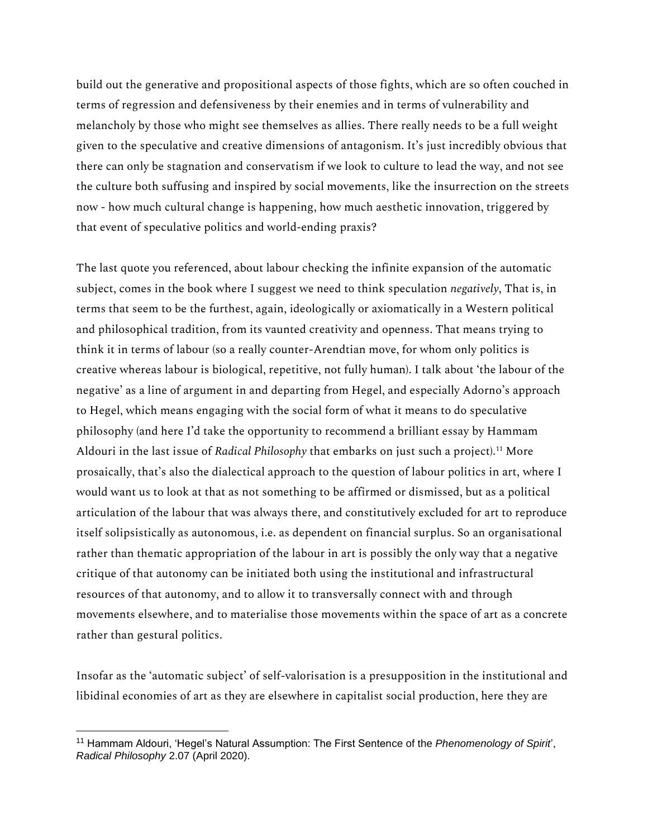build out the generative and propositional aspects of those fights, which are so often couched in terms of regression and defensiveness by their enemies and in terms of vulnerability and melancholy by those who might see themselves as allies. There really needs to be a full weight given to the speculative and creative dimensions of antagonism. It's just incredibly obvious that there can only be stagnation and conservatism if we look to culture to lead the way, and not see the culture both suffusing and inspired by social movements, like the insurrection on the streets now - how much cultural change is happening, how much aesthetic innovation, triggered by that event of speculative politics and world-ending praxis?

The last quote you referenced, about labour checking the infinite expansion of the automatic subject, comes in the book where I suggest we need to think speculation *negatively*, That is, in terms that seem to be the furthest, again, ideologically or axiomatically in a Western political and philosophical tradition, from its vaunted creativity and openness. That means trying to think it in terms of labour (so a really counter-Arendtian move, for whom only politics is creative whereas labour is biological, repetitive, not fully human). I talk about 'the labour of the negative' as a line of argument in and departing from Hegel, and especially Adorno's approach to Hegel, which means engaging with the social form of what it means to do speculative philosophy (and here I'd take the opportunity to recommend a brilliant essay by Hammam Aldouri in the last issue of *Radical Philosophy* that embarks on just such a project).<sup>11</sup> More prosaically, that's also the dialectical approach to the question of labour politics in art, where I would want us to look at that as not something to be affirmed or dismissed, but as a political articulation of the labour that was always there, and constitutively excluded for art to reproduce itself solipsistically as autonomous, i.e. as dependent on financial surplus. So an organisational rather than thematic appropriation of the labour in art is possibly the only way that a negative critique of that autonomy can be initiated both using the institutional and infrastructural resources of that autonomy, and to allow it to transversally connect with and through movements elsewhere, and to materialise those movements within the space of art as a concrete rather than gestural politics.

Insofar as the 'automatic subject' of self-valorisation is a presupposition in the institutional and libidinal economies of art as they are elsewhere in capitalist social production, here they are

<sup>11</sup> Hammam Aldouri, 'Hegel's Natural Assumption: The First Sentence of the *Phenomenology of Spirit*', *Radical Philosophy* 2.07 (April 2020).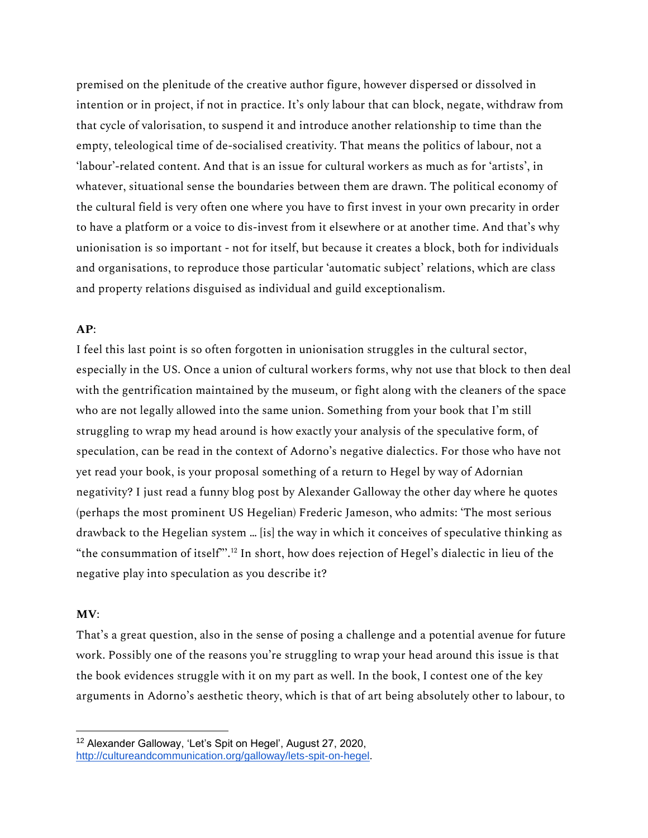premised on the plenitude of the creative author figure, however dispersed or dissolved in intention or in project, if not in practice. It's only labour that can block, negate, withdraw from that cycle of valorisation, to suspend it and introduce another relationship to time than the empty, teleological time of de-socialised creativity. That means the politics of labour, not a 'labour'-related content. And that is an issue for cultural workers as much as for 'artists', in whatever, situational sense the boundaries between them are drawn. The political economy of the cultural field is very often one where you have to first invest in your own precarity in order to have a platform or a voice to dis-invest from it elsewhere or at another time. And that's why unionisation is so important - not for itself, but because it creates a block, both for individuals and organisations, to reproduce those particular 'automatic subject' relations, which are class and property relations disguised as individual and guild exceptionalism.

## **AP**:

I feel this last point is so often forgotten in unionisation struggles in the cultural sector, especially in the US. Once a union of cultural workers forms, why not use that block to then deal with the gentrification maintained by the museum, or fight along with the cleaners of the space who are not legally allowed into the same union. Something from your book that I'm still struggling to wrap my head around is how exactly your analysis of the speculative form, of speculation, can be read in the context of Adorno's negative dialectics. For those who have not yet read your book, is your proposal something of a return to Hegel by way of Adornian negativity? I just read a funny blog post by Alexander Galloway the other day where he quotes (perhaps the most prominent US Hegelian) Frederic Jameson, who admits: 'The most serious drawback to the Hegelian system … [is] the way in which it conceives of speculative thinking as "the consummation of itself"'.<sup>12</sup> In short, how does rejection of Hegel's dialectic in lieu of the negative play into speculation as you describe it?

#### **MV**:

That's a great question, also in the sense of posing a challenge and a potential avenue for future work. Possibly one of the reasons you're struggling to wrap your head around this issue is that the book evidences struggle with it on my part as well. In the book, I contest one of the key arguments in Adorno's aesthetic theory, which is that of art being absolutely other to labour, to

<sup>12</sup> Alexander Galloway, 'Let's Spit on Hegel', August 27, 2020, [http://cultureandcommunication.org/galloway/lets-spit-on-hegel.](http://cultureandcommunication.org/galloway/lets-spit-on-hegel)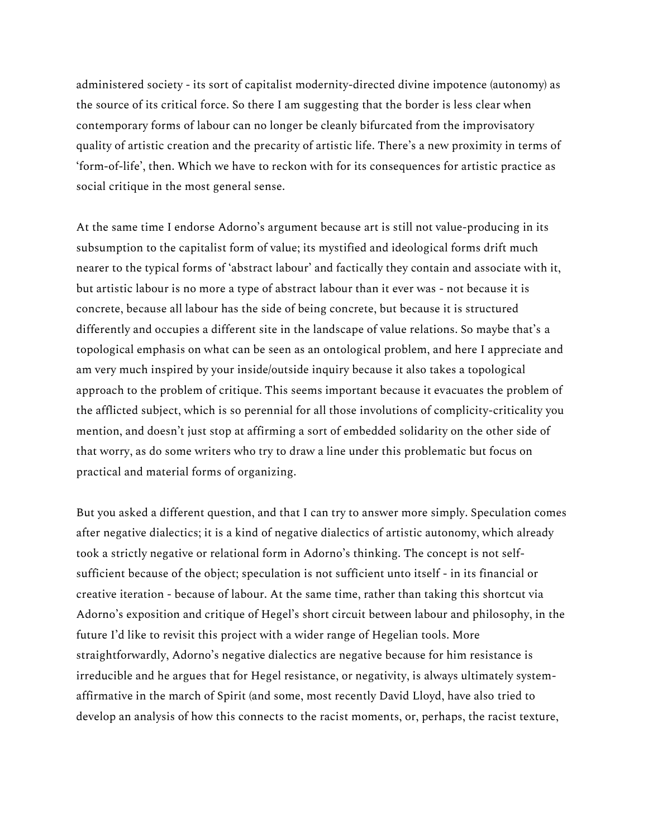administered society - its sort of capitalist modernity-directed divine impotence (autonomy) as the source of its critical force. So there I am suggesting that the border is less clear when contemporary forms of labour can no longer be cleanly bifurcated from the improvisatory quality of artistic creation and the precarity of artistic life. There's a new proximity in terms of 'form-of-life', then. Which we have to reckon with for its consequences for artistic practice as social critique in the most general sense.

At the same time I endorse Adorno's argument because art is still not value-producing in its subsumption to the capitalist form of value; its mystified and ideological forms drift much nearer to the typical forms of 'abstract labour' and factically they contain and associate with it, but artistic labour is no more a type of abstract labour than it ever was - not because it is concrete, because all labour has the side of being concrete, but because it is structured differently and occupies a different site in the landscape of value relations. So maybe that's a topological emphasis on what can be seen as an ontological problem, and here I appreciate and am very much inspired by your inside/outside inquiry because it also takes a topological approach to the problem of critique. This seems important because it evacuates the problem of the afflicted subject, which is so perennial for all those involutions of complicity-criticality you mention, and doesn't just stop at affirming a sort of embedded solidarity on the other side of that worry, as do some writers who try to draw a line under this problematic but focus on practical and material forms of organizing.

But you asked a different question, and that I can try to answer more simply. Speculation comes after negative dialectics; it is a kind of negative dialectics of artistic autonomy, which already took a strictly negative or relational form in Adorno's thinking. The concept is not selfsufficient because of the object; speculation is not sufficient unto itself - in its financial or creative iteration - because of labour. At the same time, rather than taking this shortcut via Adorno's exposition and critique of Hegel's short circuit between labour and philosophy, in the future I'd like to revisit this project with a wider range of Hegelian tools. More straightforwardly, Adorno's negative dialectics are negative because for him resistance is irreducible and he argues that for Hegel resistance, or negativity, is always ultimately systemaffirmative in the march of Spirit (and some, most recently David Lloyd, have also tried to develop an analysis of how this connects to the racist moments, or, perhaps, the racist texture,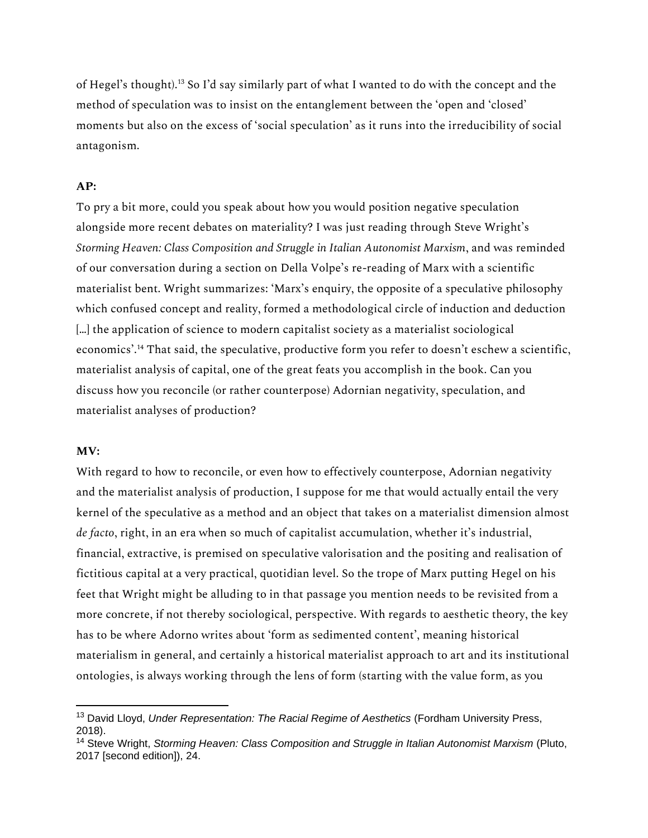of Hegel's thought).<sup>13</sup> So I'd say similarly part of what I wanted to do with the concept and the method of speculation was to insist on the entanglement between the 'open and 'closed' moments but also on the excess of 'social speculation' as it runs into the irreducibility of social antagonism.

## **AP:**

To pry a bit more, could you speak about how you would position negative speculation alongside more recent debates on materiality? I was just reading through Steve Wright's *Storming Heaven: Class Composition and Struggle in Italian Autonomist Marxism*, and was reminded of our conversation during a section on Della Volpe's re-reading of Marx with a scientific materialist bent. Wright summarizes: 'Marx's enquiry, the opposite of a speculative philosophy which confused concept and reality, formed a methodological circle of induction and deduction […] the application of science to modern capitalist society as a materialist sociological economics'.<sup>14</sup> That said, the speculative, productive form you refer to doesn't eschew a scientific, materialist analysis of capital, one of the great feats you accomplish in the book. Can you discuss how you reconcile (or rather counterpose) Adornian negativity, speculation, and materialist analyses of production?

#### **MV:**

With regard to how to reconcile, or even how to effectively counterpose, Adornian negativity and the materialist analysis of production, I suppose for me that would actually entail the very kernel of the speculative as a method and an object that takes on a materialist dimension almost *de facto*, right, in an era when so much of capitalist accumulation, whether it's industrial, financial, extractive, is premised on speculative valorisation and the positing and realisation of fictitious capital at a very practical, quotidian level. So the trope of Marx putting Hegel on his feet that Wright might be alluding to in that passage you mention needs to be revisited from a more concrete, if not thereby sociological, perspective. With regards to aesthetic theory, the key has to be where Adorno writes about 'form as sedimented content', meaning historical materialism in general, and certainly a historical materialist approach to art and its institutional ontologies, is always working through the lens of form (starting with the value form, as you

<sup>&</sup>lt;sup>13</sup> David Lloyd, *Under Representation: The Racial Regime of Aesthetics* (Fordham University Press, 2018).

<sup>14</sup> Steve Wright, *Storming Heaven: Class Composition and Struggle in Italian Autonomist Marxism* (Pluto, 2017 [second edition]), 24.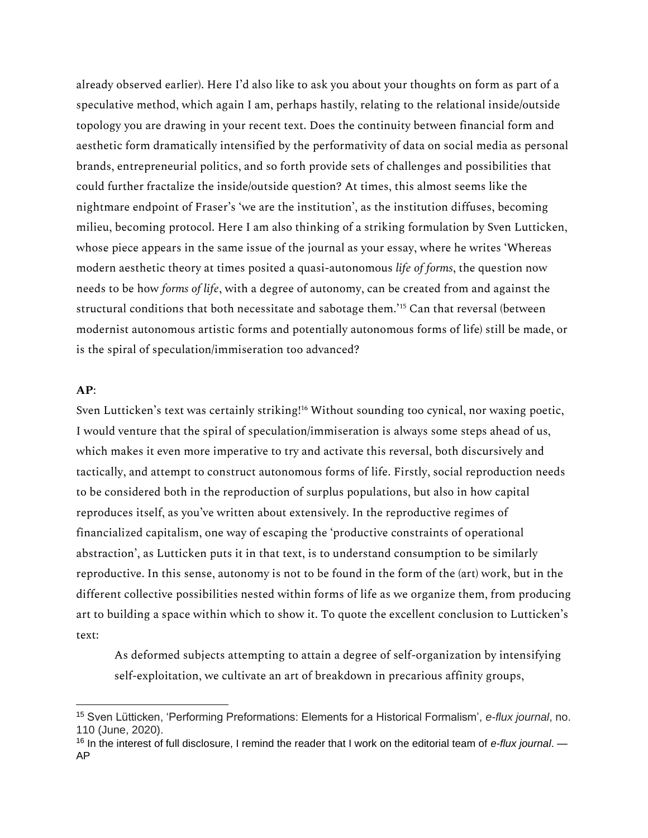already observed earlier). Here I'd also like to ask you about your thoughts on form as part of a speculative method, which again I am, perhaps hastily, relating to the relational inside/outside topology you are drawing in your recent text. Does the continuity between financial form and aesthetic form dramatically intensified by the performativity of data on social media as personal brands, entrepreneurial politics, and so forth provide sets of challenges and possibilities that could further fractalize the inside/outside question? At times, this almost seems like the nightmare endpoint of Fraser's 'we are the institution', as the institution diffuses, becoming milieu, becoming protocol. Here I am also thinking of a striking formulation by Sven Lutticken, whose piece appears in the same issue of the journal as your essay, where he writes 'Whereas modern aesthetic theory at times posited a quasi-autonomous *life of forms*, the question now needs to be how *forms of life*, with a degree of autonomy, can be created from and against the structural conditions that both necessitate and sabotage them.'<sup>15</sup> Can that reversal (between modernist autonomous artistic forms and potentially autonomous forms of life) still be made, or is the spiral of speculation/immiseration too advanced?

## **AP**:

Sven Lutticken's text was certainly striking!<sup>16</sup> Without sounding too cynical, nor waxing poetic, I would venture that the spiral of speculation/immiseration is always some steps ahead of us, which makes it even more imperative to try and activate this reversal, both discursively and tactically, and attempt to construct autonomous forms of life. Firstly, social reproduction needs to be considered both in the reproduction of surplus populations, but also in how capital reproduces itself, as you've written about extensively. In the reproductive regimes of financialized capitalism, one way of escaping the 'productive constraints of operational abstraction', as Lutticken puts it in that text, is to understand consumption to be similarly reproductive. In this sense, autonomy is not to be found in the form of the (art) work, but in the different collective possibilities nested within forms of life as we organize them, from producing art to building a space within which to show it. To quote the excellent conclusion to Lutticken's text:

As deformed subjects attempting to attain a degree of self-organization by intensifying self-exploitation, we cultivate an art of breakdown in precarious affinity groups,

<sup>15</sup> Sven Lütticken, 'Performing Preformations: Elements for a Historical Formalism', *e-flux journal*, no. 110 (June, 2020).

<sup>16</sup> In the interest of full disclosure, I remind the reader that I work on the editorial team of *e-flux journal*. — AP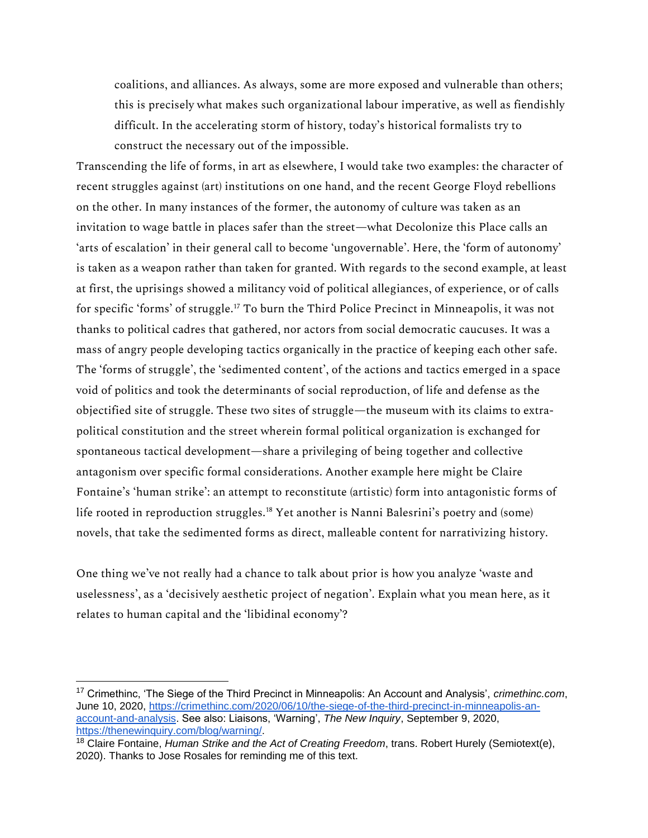coalitions, and alliances. As always, some are more exposed and vulnerable than others; this is precisely what makes such organizational labour imperative, as well as fiendishly difficult. In the accelerating storm of history, today's historical formalists try to construct the necessary out of the impossible.

Transcending the life of forms, in art as elsewhere, I would take two examples: the character of recent struggles against (art) institutions on one hand, and the recent George Floyd rebellions on the other. In many instances of the former, the autonomy of culture was taken as an invitation to wage battle in places safer than the street—what Decolonize this Place calls an 'arts of escalation' in their general call to become 'ungovernable'. Here, the 'form of autonomy' is taken as a weapon rather than taken for granted. With regards to the second example, at least at first, the uprisings showed a militancy void of political allegiances, of experience, or of calls for specific 'forms' of struggle.<sup>17</sup> To burn the Third Police Precinct in Minneapolis, it was not thanks to political cadres that gathered, nor actors from social democratic caucuses. It was a mass of angry people developing tactics organically in the practice of keeping each other safe. The 'forms of struggle', the 'sedimented content', of the actions and tactics emerged in a space void of politics and took the determinants of social reproduction, of life and defense as the objectified site of struggle. These two sites of struggle—the museum with its claims to extrapolitical constitution and the street wherein formal political organization is exchanged for spontaneous tactical development—share a privileging of being together and collective antagonism over specific formal considerations. Another example here might be Claire Fontaine's 'human strike': an attempt to reconstitute (artistic) form into antagonistic forms of life rooted in reproduction struggles.<sup>18</sup> Yet another is Nanni Balesrini's poetry and (some) novels, that take the sedimented forms as direct, malleable content for narrativizing history.

One thing we've not really had a chance to talk about prior is how you analyze 'waste and uselessness', as a 'decisively aesthetic project of negation'. Explain what you mean here, as it relates to human capital and the 'libidinal economy'?

<sup>17</sup> Crimethinc, 'The Siege of the Third Precinct in Minneapolis: An Account and Analysis', *crimethinc.com*, June 10, 2020, [https://crimethinc.com/2020/06/10/the-siege-of-the-third-precinct-in-minneapolis-an](https://crimethinc.com/2020/06/10/the-siege-of-the-third-precinct-in-minneapolis-an-account-and-analysis)[account-and-analysis.](https://crimethinc.com/2020/06/10/the-siege-of-the-third-precinct-in-minneapolis-an-account-and-analysis) See also: Liaisons, 'Warning', *The New Inquiry*, September 9, 2020, [https://thenewinquiry.com/blog/warning/.](https://thenewinquiry.com/blog/warning/)

<sup>18</sup> Claire Fontaine, *Human Strike and the Act of Creating Freedom*, trans. Robert Hurely (Semiotext(e), 2020). Thanks to Jose Rosales for reminding me of this text.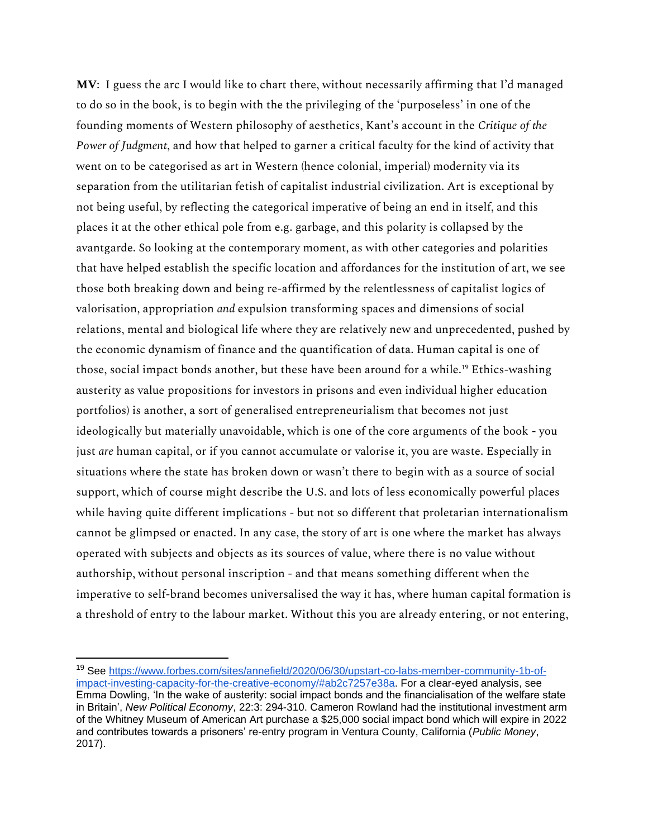**MV**: I guess the arc I would like to chart there, without necessarily affirming that I'd managed to do so in the book, is to begin with the the privileging of the 'purposeless' in one of the founding moments of Western philosophy of aesthetics, Kant's account in the *Critique of the Power of Judgment*, and how that helped to garner a critical faculty for the kind of activity that went on to be categorised as art in Western (hence colonial, imperial) modernity via its separation from the utilitarian fetish of capitalist industrial civilization. Art is exceptional by not being useful, by reflecting the categorical imperative of being an end in itself, and this places it at the other ethical pole from e.g. garbage, and this polarity is collapsed by the avantgarde. So looking at the contemporary moment, as with other categories and polarities that have helped establish the specific location and affordances for the institution of art, we see those both breaking down and being re-affirmed by the relentlessness of capitalist logics of valorisation, appropriation *and* expulsion transforming spaces and dimensions of social relations, mental and biological life where they are relatively new and unprecedented, pushed by the economic dynamism of finance and the quantification of data. Human capital is one of those, social impact bonds another, but these have been around for a while.<sup>19</sup> Ethics-washing austerity as value propositions for investors in prisons and even individual higher education portfolios) is another, a sort of generalised entrepreneurialism that becomes not just ideologically but materially unavoidable, which is one of the core arguments of the book - you just *are* human capital, or if you cannot accumulate or valorise it, you are waste. Especially in situations where the state has broken down or wasn't there to begin with as a source of social support, which of course might describe the U.S. and lots of less economically powerful places while having quite different implications - but not so different that proletarian internationalism cannot be glimpsed or enacted. In any case, the story of art is one where the market has always operated with subjects and objects as its sources of value, where there is no value without authorship, without personal inscription - and that means something different when the imperative to self-brand becomes universalised the way it has, where human capital formation is a threshold of entry to the labour market. Without this you are already entering, or not entering,

<sup>19</sup> See [https://www.forbes.com/sites/annefield/2020/06/30/upstart-co-labs-member-community-1b-of](https://www.forbes.com/sites/annefield/2020/06/30/upstart-co-labs-member-community-1b-of-impact-investing-capacity-for-the-creative-economy/#ab2c7257e38a)[impact-investing-capacity-for-the-creative-economy/#ab2c7257e38a.](https://www.forbes.com/sites/annefield/2020/06/30/upstart-co-labs-member-community-1b-of-impact-investing-capacity-for-the-creative-economy/#ab2c7257e38a) For a clear-eyed analysis, see Emma Dowling, 'In the wake of austerity: social impact bonds and the financialisation of the welfare state in Britain', *New Political Economy*, 22:3: 294-310. Cameron Rowland had the institutional investment arm of the Whitney Museum of American Art purchase a \$25,000 social impact bond which will expire in 2022 and contributes towards a prisoners' re-entry program in Ventura County, California (*Public Money*, 2017).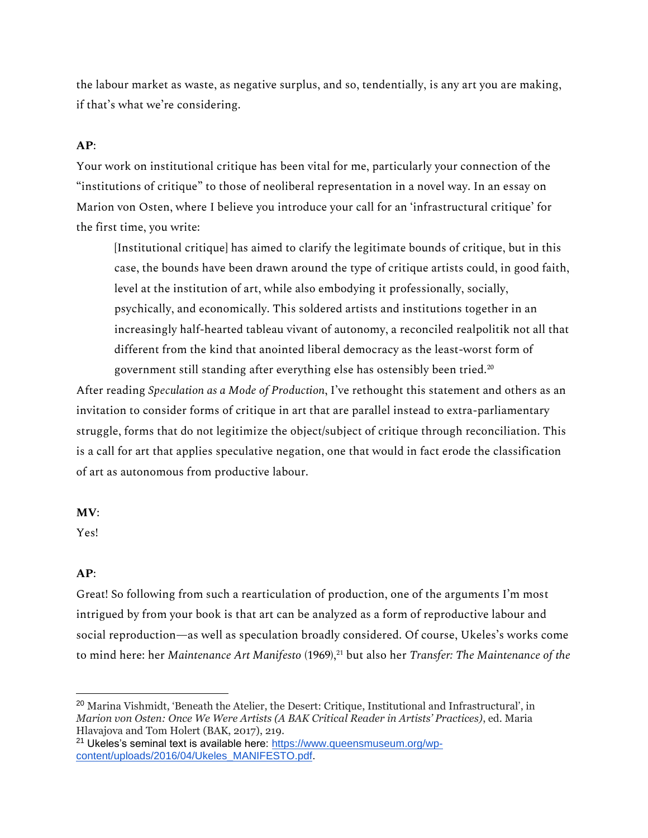the labour market as waste, as negative surplus, and so, tendentially, is any art you are making, if that's what we're considering.

## **AP**:

Your work on institutional critique has been vital for me, particularly your connection of the "institutions of critique" to those of neoliberal representation in a novel way. In an essay on Marion von Osten, where I believe you introduce your call for an 'infrastructural critique' for the first time, you write:

[Institutional critique] has aimed to clarify the legitimate bounds of critique, but in this case, the bounds have been drawn around the type of critique artists could, in good faith, level at the institution of art, while also embodying it professionally, socially, psychically, and economically. This soldered artists and institutions together in an increasingly half-hearted tableau vivant of autonomy, a reconciled realpolitik not all that different from the kind that anointed liberal democracy as the least-worst form of government still standing after everything else has ostensibly been tried.<sup>20</sup>

After reading *Speculation as a Mode of Production*, I've rethought this statement and others as an invitation to consider forms of critique in art that are parallel instead to extra-parliamentary struggle, forms that do not legitimize the object/subject of critique through reconciliation. This is a call for art that applies speculative negation, one that would in fact erode the classification of art as autonomous from productive labour.

#### **MV**:

Yes!

#### **AP**:

Great! So following from such a rearticulation of production, one of the arguments I'm most intrigued by from your book is that art can be analyzed as a form of reproductive labour and social reproduction—as well as speculation broadly considered. Of course, Ukeles's works come to mind here: her *Maintenance Art Manifesto* (1969),<sup>21</sup> but also her *Transfer: The Maintenance of the* 

<sup>&</sup>lt;sup>20</sup> Marina Vishmidt, 'Beneath the Atelier, the Desert: Critique, Institutional and Infrastructural', in *Marion von Osten: Once We Were Artists (A BAK Critical Reader in Artists' Practices)*, ed. Maria Hlavajova and Tom Holert (BAK, 2017), 219.

<sup>&</sup>lt;sup>21</sup> Ukeles's seminal text is available here: [https://www.queensmuseum.org/wp](https://www.queensmuseum.org/wp-content/uploads/2016/04/Ukeles_MANIFESTO.pdf)[content/uploads/2016/04/Ukeles\\_MANIFESTO.pdf.](https://www.queensmuseum.org/wp-content/uploads/2016/04/Ukeles_MANIFESTO.pdf)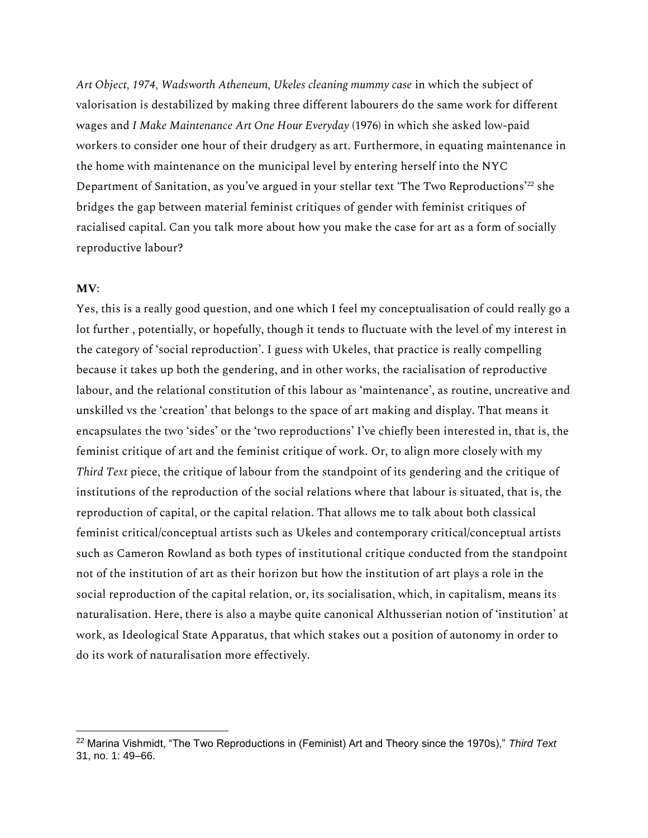*Art Object, 1974, Wadsworth Atheneum, Ukeles cleaning mummy case* in which the subject of valorisation is destabilized by making three different labourers do the same work for different wages and *I Make Maintenance Art One Hour Everyday* (1976) in which she asked low-paid workers to consider one hour of their drudgery as art. Furthermore, in equating maintenance in the home with maintenance on the municipal level by entering herself into the NYC Department of Sanitation, as you've argued in your stellar text 'The Two Reproductions'<sup>22</sup> she bridges the gap between material feminist critiques of gender with feminist critiques of racialised capital. Can you talk more about how you make the case for art as a form of socially reproductive labour?

#### **MV**:

Yes, this is a really good question, and one which I feel my conceptualisation of could really go a lot further , potentially, or hopefully, though it tends to fluctuate with the level of my interest in the category of 'social reproduction'. I guess with Ukeles, that practice is really compelling because it takes up both the gendering, and in other works, the racialisation of reproductive labour, and the relational constitution of this labour as 'maintenance', as routine, uncreative and unskilled vs the 'creation' that belongs to the space of art making and display. That means it encapsulates the two 'sides' or the 'two reproductions' I've chiefly been interested in, that is, the feminist critique of art and the feminist critique of work. Or, to align more closely with my *Third Text* piece, the critique of labour from the standpoint of its gendering and the critique of institutions of the reproduction of the social relations where that labour is situated, that is, the reproduction of capital, or the capital relation. That allows me to talk about both classical feminist critical/conceptual artists such as Ukeles and contemporary critical/conceptual artists such as Cameron Rowland as both types of institutional critique conducted from the standpoint not of the institution of art as their horizon but how the institution of art plays a role in the social reproduction of the capital relation, or, its socialisation, which, in capitalism, means its naturalisation. Here, there is also a maybe quite canonical Althusserian notion of 'institution' at work, as Ideological State Apparatus, that which stakes out a position of autonomy in order to do its work of naturalisation more effectively.

<sup>22</sup> Marina Vishmidt, "The Two Reproductions in (Feminist) Art and Theory since the 1970s)," *Third Text* 31, no. 1: 49–66.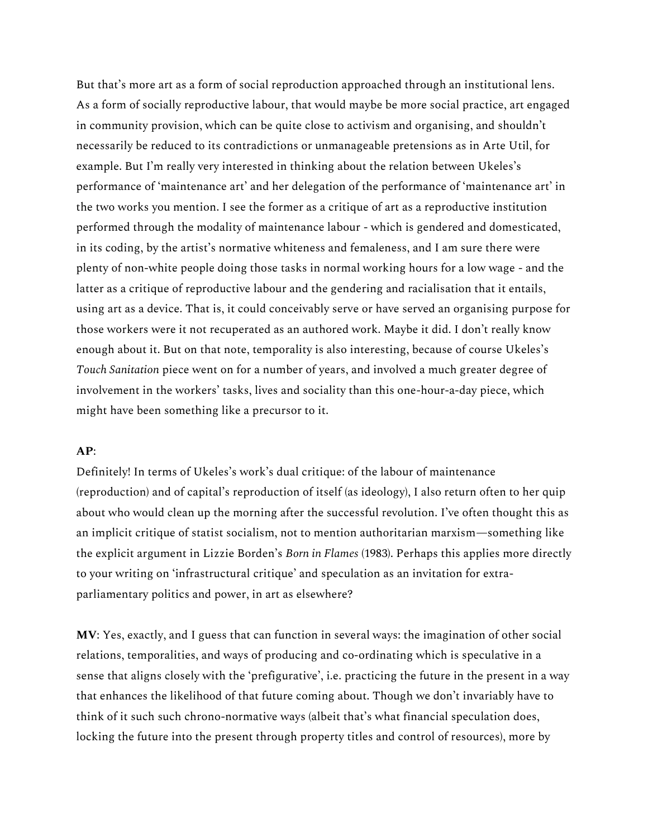But that's more art as a form of social reproduction approached through an institutional lens. As a form of socially reproductive labour, that would maybe be more social practice, art engaged in community provision, which can be quite close to activism and organising, and shouldn't necessarily be reduced to its contradictions or unmanageable pretensions as in Arte Util, for example. But I'm really very interested in thinking about the relation between Ukeles's performance of 'maintenance art' and her delegation of the performance of 'maintenance art' in the two works you mention. I see the former as a critique of art as a reproductive institution performed through the modality of maintenance labour - which is gendered and domesticated, in its coding, by the artist's normative whiteness and femaleness, and I am sure there were plenty of non-white people doing those tasks in normal working hours for a low wage - and the latter as a critique of reproductive labour and the gendering and racialisation that it entails, using art as a device. That is, it could conceivably serve or have served an organising purpose for those workers were it not recuperated as an authored work. Maybe it did. I don't really know enough about it. But on that note, temporality is also interesting, because of course Ukeles's *Touch Sanitation* piece went on for a number of years, and involved a much greater degree of involvement in the workers' tasks, lives and sociality than this one-hour-a-day piece, which might have been something like a precursor to it.

## **AP**:

Definitely! In terms of Ukeles's work's dual critique: of the labour of maintenance (reproduction) and of capital's reproduction of itself (as ideology), I also return often to her quip about who would clean up the morning after the successful revolution. I've often thought this as an implicit critique of statist socialism, not to mention authoritarian marxism—something like the explicit argument in Lizzie Borden's *Born in Flames* (1983). Perhaps this applies more directly to your writing on 'infrastructural critique' and speculation as an invitation for extraparliamentary politics and power, in art as elsewhere?

**MV**: Yes, exactly, and I guess that can function in several ways: the imagination of other social relations, temporalities, and ways of producing and co-ordinating which is speculative in a sense that aligns closely with the 'prefigurative', i.e. practicing the future in the present in a way that enhances the likelihood of that future coming about. Though we don't invariably have to think of it such such chrono-normative ways (albeit that's what financial speculation does, locking the future into the present through property titles and control of resources), more by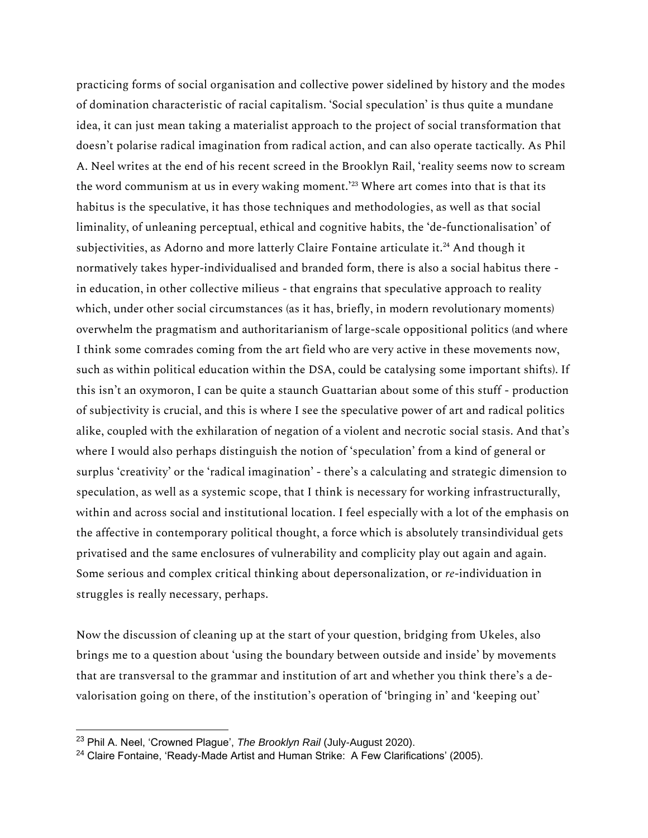practicing forms of social organisation and collective power sidelined by history and the modes of domination characteristic of racial capitalism. 'Social speculation' is thus quite a mundane idea, it can just mean taking a materialist approach to the project of social transformation that doesn't polarise radical imagination from radical action, and can also operate tactically. As Phil A. Neel writes at the end of his recent screed in the Brooklyn Rail, 'reality seems now to scream the word communism at us in every waking moment.<sup>223</sup> Where art comes into that is that its habitus is the speculative, it has those techniques and methodologies, as well as that social liminality, of unleaning perceptual, ethical and cognitive habits, the 'de-functionalisation' of subjectivities, as Adorno and more latterly Claire Fontaine articulate it.<sup>24</sup> And though it normatively takes hyper-individualised and branded form, there is also a social habitus there in education, in other collective milieus - that engrains that speculative approach to reality which, under other social circumstances (as it has, briefly, in modern revolutionary moments) overwhelm the pragmatism and authoritarianism of large-scale oppositional politics (and where I think some comrades coming from the art field who are very active in these movements now, such as within political education within the DSA, could be catalysing some important shifts). If this isn't an oxymoron, I can be quite a staunch Guattarian about some of this stuff - production of subjectivity is crucial, and this is where I see the speculative power of art and radical politics alike, coupled with the exhilaration of negation of a violent and necrotic social stasis. And that's where I would also perhaps distinguish the notion of 'speculation' from a kind of general or surplus 'creativity' or the 'radical imagination' - there's a calculating and strategic dimension to speculation, as well as a systemic scope, that I think is necessary for working infrastructurally, within and across social and institutional location. I feel especially with a lot of the emphasis on the affective in contemporary political thought, a force which is absolutely transindividual gets privatised and the same enclosures of vulnerability and complicity play out again and again. Some serious and complex critical thinking about depersonalization, or *re*-individuation in struggles is really necessary, perhaps.

Now the discussion of cleaning up at the start of your question, bridging from Ukeles, also brings me to a question about 'using the boundary between outside and inside' by movements that are transversal to the grammar and institution of art and whether you think there's a devalorisation going on there, of the institution's operation of 'bringing in' and 'keeping out'

<sup>23</sup> Phil A. Neel, 'Crowned Plague', *The Brooklyn Rail* (July-August 2020).

 $24$  Claire Fontaine, 'Ready-Made Artist and Human Strike: A Few Clarifications' (2005).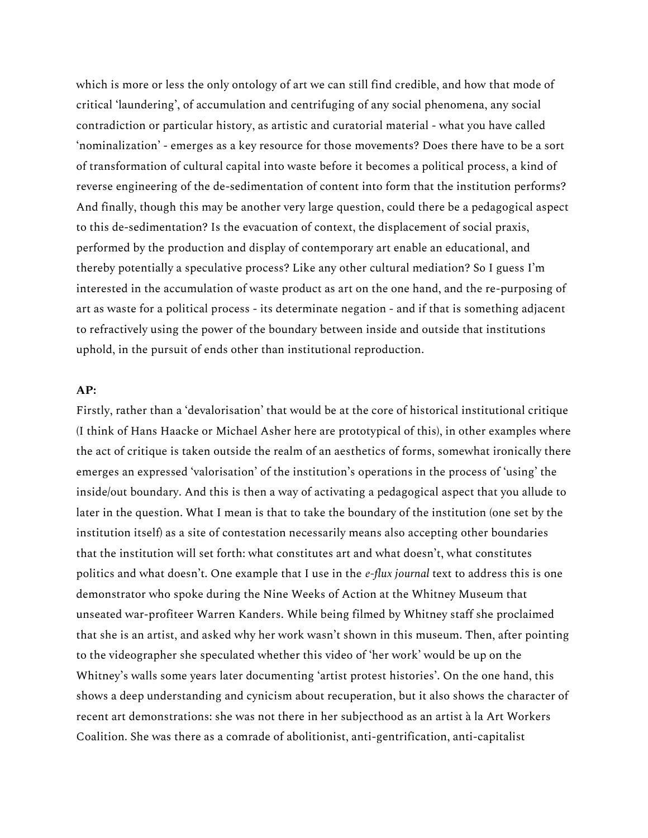which is more or less the only ontology of art we can still find credible, and how that mode of critical 'laundering', of accumulation and centrifuging of any social phenomena, any social contradiction or particular history, as artistic and curatorial material - what you have called 'nominalization' - emerges as a key resource for those movements? Does there have to be a sort of transformation of cultural capital into waste before it becomes a political process, a kind of reverse engineering of the de-sedimentation of content into form that the institution performs? And finally, though this may be another very large question, could there be a pedagogical aspect to this de-sedimentation? Is the evacuation of context, the displacement of social praxis, performed by the production and display of contemporary art enable an educational, and thereby potentially a speculative process? Like any other cultural mediation? So I guess I'm interested in the accumulation of waste product as art on the one hand, and the re-purposing of art as waste for a political process - its determinate negation - and if that is something adjacent to refractively using the power of the boundary between inside and outside that institutions uphold, in the pursuit of ends other than institutional reproduction.

## **AP:**

Firstly, rather than a 'devalorisation' that would be at the core of historical institutional critique (I think of Hans Haacke or Michael Asher here are prototypical of this), in other examples where the act of critique is taken outside the realm of an aesthetics of forms, somewhat ironically there emerges an expressed 'valorisation' of the institution's operations in the process of 'using' the inside/out boundary. And this is then a way of activating a pedagogical aspect that you allude to later in the question. What I mean is that to take the boundary of the institution (one set by the institution itself) as a site of contestation necessarily means also accepting other boundaries that the institution will set forth: what constitutes art and what doesn't, what constitutes politics and what doesn't. One example that I use in the *e-flux journal* text to address this is one demonstrator who spoke during the Nine Weeks of Action at the Whitney Museum that unseated war-profiteer Warren Kanders. While being filmed by Whitney staff she proclaimed that she is an artist, and asked why her work wasn't shown in this museum. Then, after pointing to the videographer she speculated whether this video of 'her work' would be up on the Whitney's walls some years later documenting 'artist protest histories'. On the one hand, this shows a deep understanding and cynicism about recuperation, but it also shows the character of recent art demonstrations: she was not there in her subjecthood as an artist à la Art Workers Coalition. She was there as a comrade of abolitionist, anti-gentrification, anti-capitalist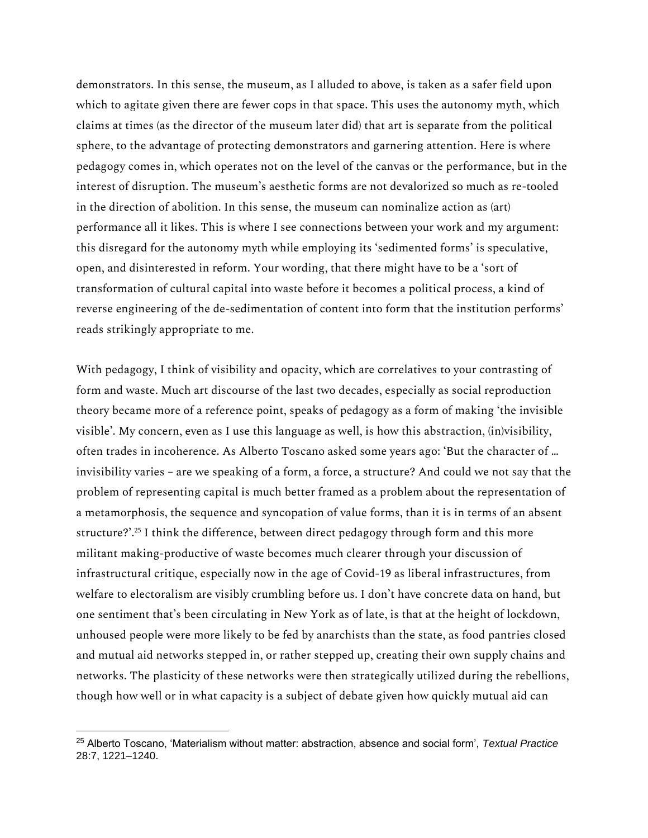demonstrators. In this sense, the museum, as I alluded to above, is taken as a safer field upon which to agitate given there are fewer cops in that space. This uses the autonomy myth, which claims at times (as the director of the museum later did) that art is separate from the political sphere, to the advantage of protecting demonstrators and garnering attention. Here is where pedagogy comes in, which operates not on the level of the canvas or the performance, but in the interest of disruption. The museum's aesthetic forms are not devalorized so much as re-tooled in the direction of abolition. In this sense, the museum can nominalize action as (art) performance all it likes. This is where I see connections between your work and my argument: this disregard for the autonomy myth while employing its 'sedimented forms' is speculative, open, and disinterested in reform. Your wording, that there might have to be a 'sort of transformation of cultural capital into waste before it becomes a political process, a kind of reverse engineering of the de-sedimentation of content into form that the institution performs' reads strikingly appropriate to me.

With pedagogy, I think of visibility and opacity, which are correlatives to your contrasting of form and waste. Much art discourse of the last two decades, especially as social reproduction theory became more of a reference point, speaks of pedagogy as a form of making 'the invisible visible'. My concern, even as I use this language as well, is how this abstraction, (in)visibility, often trades in incoherence. As Alberto Toscano asked some years ago: 'But the character of … invisibility varies – are we speaking of a form, a force, a structure? And could we not say that the problem of representing capital is much better framed as a problem about the representation of a metamorphosis, the sequence and syncopation of value forms, than it is in terms of an absent structure?'.<sup>25</sup> I think the difference, between direct pedagogy through form and this more militant making-productive of waste becomes much clearer through your discussion of infrastructural critique, especially now in the age of Covid-19 as liberal infrastructures, from welfare to electoralism are visibly crumbling before us. I don't have concrete data on hand, but one sentiment that's been circulating in New York as of late, is that at the height of lockdown, unhoused people were more likely to be fed by anarchists than the state, as food pantries closed and mutual aid networks stepped in, or rather stepped up, creating their own supply chains and networks. The plasticity of these networks were then strategically utilized during the rebellions, though how well or in what capacity is a subject of debate given how quickly mutual aid can

<sup>25</sup> Alberto Toscano, 'Materialism without matter: abstraction, absence and social form', *Textual Practice* 28:7, 1221–1240.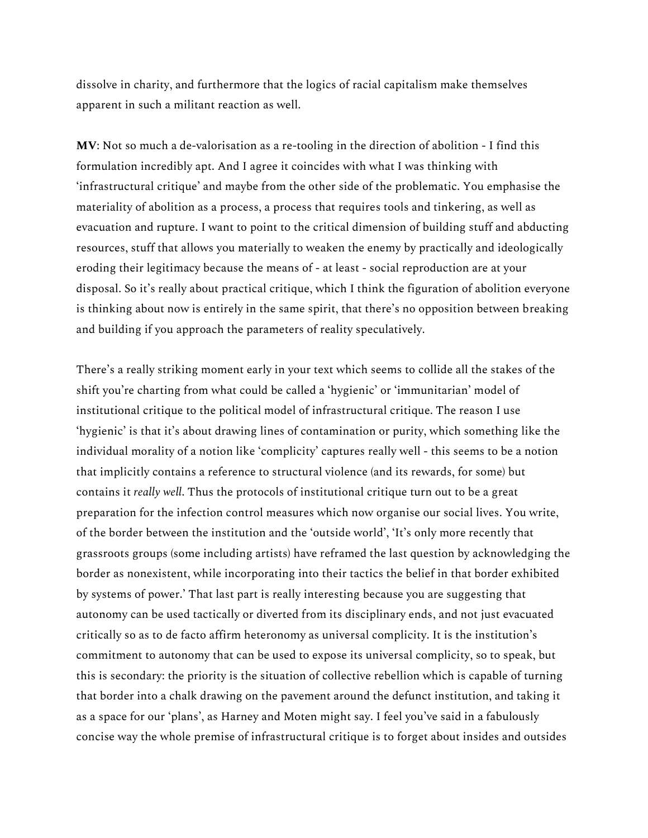dissolve in charity, and furthermore that the logics of racial capitalism make themselves apparent in such a militant reaction as well.

**MV**: Not so much a de-valorisation as a re-tooling in the direction of abolition - I find this formulation incredibly apt. And I agree it coincides with what I was thinking with 'infrastructural critique' and maybe from the other side of the problematic. You emphasise the materiality of abolition as a process, a process that requires tools and tinkering, as well as evacuation and rupture. I want to point to the critical dimension of building stuff and abducting resources, stuff that allows you materially to weaken the enemy by practically and ideologically eroding their legitimacy because the means of - at least - social reproduction are at your disposal. So it's really about practical critique, which I think the figuration of abolition everyone is thinking about now is entirely in the same spirit, that there's no opposition between breaking and building if you approach the parameters of reality speculatively.

There's a really striking moment early in your text which seems to collide all the stakes of the shift you're charting from what could be called a 'hygienic' or 'immunitarian' model of institutional critique to the political model of infrastructural critique. The reason I use 'hygienic' is that it's about drawing lines of contamination or purity, which something like the individual morality of a notion like 'complicity' captures really well - this seems to be a notion that implicitly contains a reference to structural violence (and its rewards, for some) but contains it *really well*. Thus the protocols of institutional critique turn out to be a great preparation for the infection control measures which now organise our social lives. You write, of the border between the institution and the 'outside world', 'It's only more recently that grassroots groups (some including artists) have reframed the last question by acknowledging the border as nonexistent, while incorporating into their tactics the belief in that border exhibited by systems of power.' That last part is really interesting because you are suggesting that autonomy can be used tactically or diverted from its disciplinary ends, and not just evacuated critically so as to de facto affirm heteronomy as universal complicity. It is the institution's commitment to autonomy that can be used to expose its universal complicity, so to speak, but this is secondary: the priority is the situation of collective rebellion which is capable of turning that border into a chalk drawing on the pavement around the defunct institution, and taking it as a space for our 'plans', as Harney and Moten might say. I feel you've said in a fabulously concise way the whole premise of infrastructural critique is to forget about insides and outsides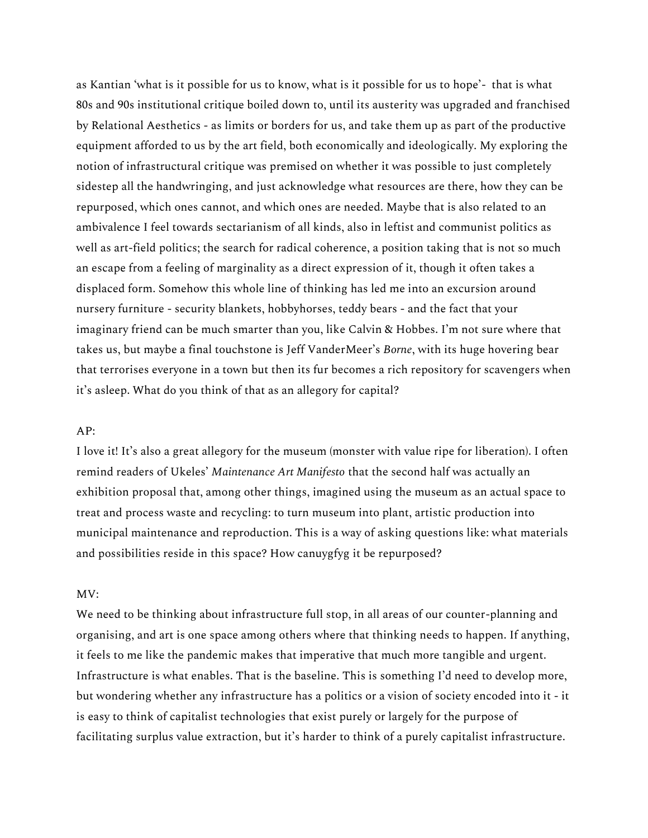as Kantian 'what is it possible for us to know, what is it possible for us to hope'- that is what 80s and 90s institutional critique boiled down to, until its austerity was upgraded and franchised by Relational Aesthetics - as limits or borders for us, and take them up as part of the productive equipment afforded to us by the art field, both economically and ideologically. My exploring the notion of infrastructural critique was premised on whether it was possible to just completely sidestep all the handwringing, and just acknowledge what resources are there, how they can be repurposed, which ones cannot, and which ones are needed. Maybe that is also related to an ambivalence I feel towards sectarianism of all kinds, also in leftist and communist politics as well as art-field politics; the search for radical coherence, a position taking that is not so much an escape from a feeling of marginality as a direct expression of it, though it often takes a displaced form. Somehow this whole line of thinking has led me into an excursion around nursery furniture - security blankets, hobbyhorses, teddy bears - and the fact that your imaginary friend can be much smarter than you, like Calvin & Hobbes. I'm not sure where that takes us, but maybe a final touchstone is Jeff VanderMeer's *Borne*, with its huge hovering bear that terrorises everyone in a town but then its fur becomes a rich repository for scavengers when it's asleep. What do you think of that as an allegory for capital?

#### $AP:$

I love it! It's also a great allegory for the museum (monster with value ripe for liberation). I often remind readers of Ukeles' *Maintenance Art Manifesto* that the second half was actually an exhibition proposal that, among other things, imagined using the museum as an actual space to treat and process waste and recycling: to turn museum into plant, artistic production into municipal maintenance and reproduction. This is a way of asking questions like: what materials and possibilities reside in this space? How canuygfyg it be repurposed?

#### MV:

We need to be thinking about infrastructure full stop, in all areas of our counter-planning and organising, and art is one space among others where that thinking needs to happen. If anything, it feels to me like the pandemic makes that imperative that much more tangible and urgent. Infrastructure is what enables. That is the baseline. This is something I'd need to develop more, but wondering whether any infrastructure has a politics or a vision of society encoded into it - it is easy to think of capitalist technologies that exist purely or largely for the purpose of facilitating surplus value extraction, but it's harder to think of a purely capitalist infrastructure.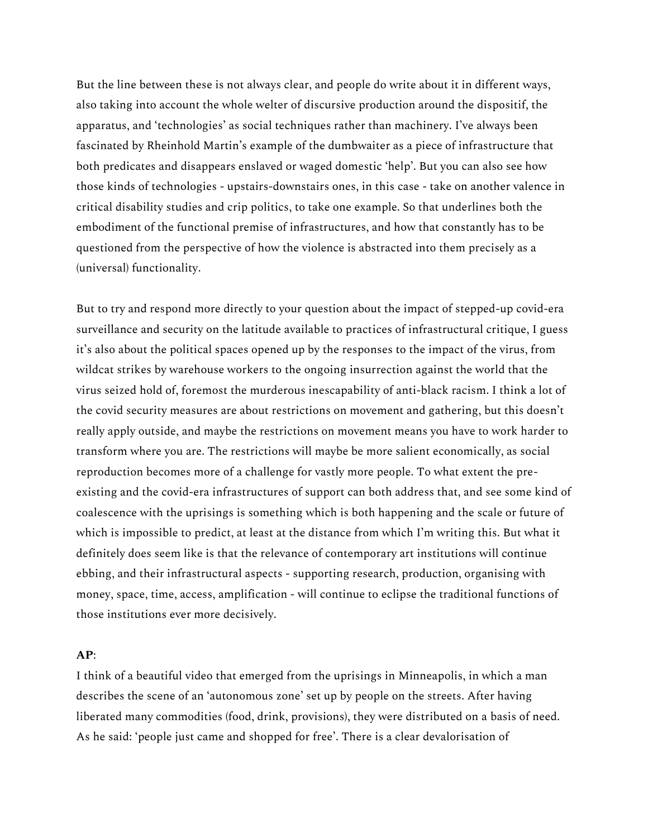But the line between these is not always clear, and people do write about it in different ways, also taking into account the whole welter of discursive production around the dispositif, the apparatus, and 'technologies' as social techniques rather than machinery. I've always been fascinated by Rheinhold Martin's example of the dumbwaiter as a piece of infrastructure that both predicates and disappears enslaved or waged domestic 'help'. But you can also see how those kinds of technologies - upstairs-downstairs ones, in this case - take on another valence in critical disability studies and crip politics, to take one example. So that underlines both the embodiment of the functional premise of infrastructures, and how that constantly has to be questioned from the perspective of how the violence is abstracted into them precisely as a (universal) functionality.

But to try and respond more directly to your question about the impact of stepped-up covid-era surveillance and security on the latitude available to practices of infrastructural critique, I guess it's also about the political spaces opened up by the responses to the impact of the virus, from wildcat strikes by warehouse workers to the ongoing insurrection against the world that the virus seized hold of, foremost the murderous inescapability of anti-black racism. I think a lot of the covid security measures are about restrictions on movement and gathering, but this doesn't really apply outside, and maybe the restrictions on movement means you have to work harder to transform where you are. The restrictions will maybe be more salient economically, as social reproduction becomes more of a challenge for vastly more people. To what extent the preexisting and the covid-era infrastructures of support can both address that, and see some kind of coalescence with the uprisings is something which is both happening and the scale or future of which is impossible to predict, at least at the distance from which I'm writing this. But what it definitely does seem like is that the relevance of contemporary art institutions will continue ebbing, and their infrastructural aspects - supporting research, production, organising with money, space, time, access, amplification - will continue to eclipse the traditional functions of those institutions ever more decisively.

## **AP**:

I think of a beautiful video that emerged from the uprisings in Minneapolis, in which a man describes the scene of an 'autonomous zone' set up by people on the streets. After having liberated many commodities (food, drink, provisions), they were distributed on a basis of need. As he said: 'people just came and shopped for free'. There is a clear devalorisation of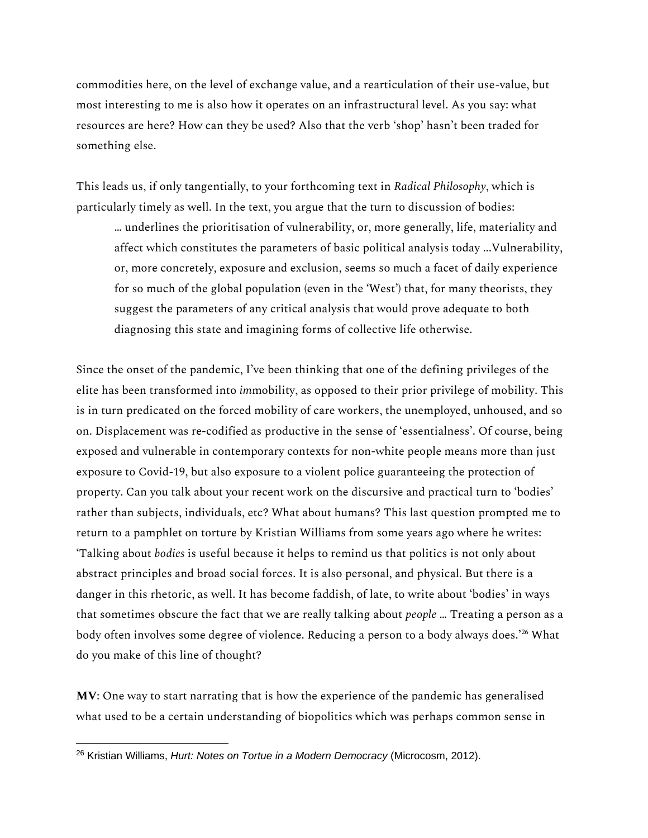commodities here, on the level of exchange value, and a rearticulation of their use-value, but most interesting to me is also how it operates on an infrastructural level. As you say: what resources are here? How can they be used? Also that the verb 'shop' hasn't been traded for something else.

This leads us, if only tangentially, to your forthcoming text in *Radical Philosophy*, which is particularly timely as well. In the text, you argue that the turn to discussion of bodies:

… underlines the prioritisation of vulnerability, or, more generally, life, materiality and affect which constitutes the parameters of basic political analysis today ...Vulnerability, or, more concretely, exposure and exclusion, seems so much a facet of daily experience for so much of the global population (even in the 'West') that, for many theorists, they suggest the parameters of any critical analysis that would prove adequate to both diagnosing this state and imagining forms of collective life otherwise.

Since the onset of the pandemic, I've been thinking that one of the defining privileges of the elite has been transformed into *im*mobility, as opposed to their prior privilege of mobility. This is in turn predicated on the forced mobility of care workers, the unemployed, unhoused, and so on. Displacement was re-codified as productive in the sense of 'essentialness'. Of course, being exposed and vulnerable in contemporary contexts for non-white people means more than just exposure to Covid-19, but also exposure to a violent police guaranteeing the protection of property. Can you talk about your recent work on the discursive and practical turn to 'bodies' rather than subjects, individuals, etc? What about humans? This last question prompted me to return to a pamphlet on torture by Kristian Williams from some years ago where he writes: 'Talking about *bodies* is useful because it helps to remind us that politics is not only about abstract principles and broad social forces. It is also personal, and physical. But there is a danger in this rhetoric, as well. It has become faddish, of late, to write about 'bodies' in ways that sometimes obscure the fact that we are really talking about *people* … Treating a person as a body often involves some degree of violence. Reducing a person to a body always does.<sup>'26</sup> What do you make of this line of thought?

**MV**: One way to start narrating that is how the experience of the pandemic has generalised what used to be a certain understanding of biopolitics which was perhaps common sense in

<sup>26</sup> Kristian Williams, *Hurt: Notes on Tortue in a Modern Democracy* (Microcosm, 2012).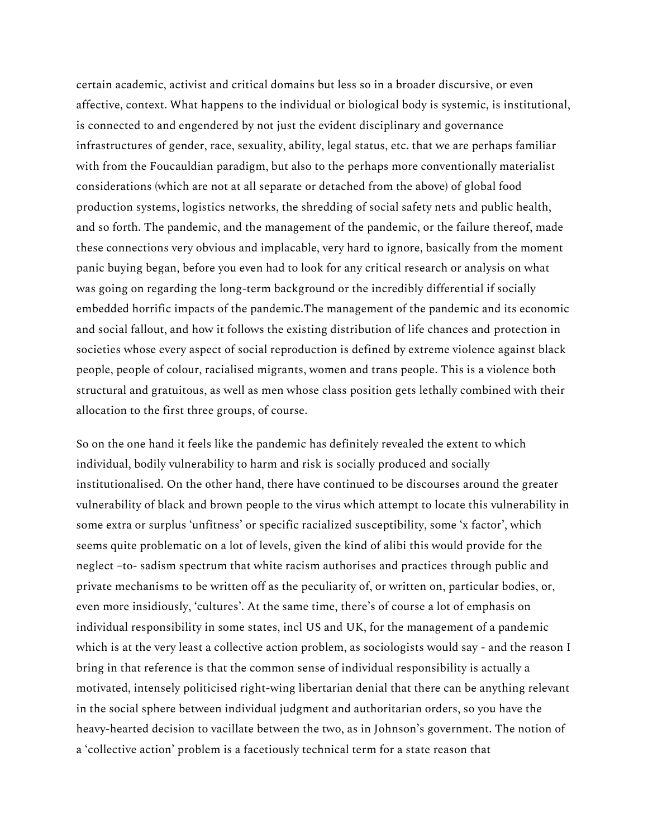certain academic, activist and critical domains but less so in a broader discursive, or even affective, context. What happens to the individual or biological body is systemic, is institutional, is connected to and engendered by not just the evident disciplinary and governance infrastructures of gender, race, sexuality, ability, legal status, etc. that we are perhaps familiar with from the Foucauldian paradigm, but also to the perhaps more conventionally materialist considerations (which are not at all separate or detached from the above) of global food production systems, logistics networks, the shredding of social safety nets and public health, and so forth. The pandemic, and the management of the pandemic, or the failure thereof, made these connections very obvious and implacable, very hard to ignore, basically from the moment panic buying began, before you even had to look for any critical research or analysis on what was going on regarding the long-term background or the incredibly differential if socially embedded horrific impacts of the pandemic.The management of the pandemic and its economic and social fallout, and how it follows the existing distribution of life chances and protection in societies whose every aspect of social reproduction is defined by extreme violence against black people, people of colour, racialised migrants, women and trans people. This is a violence both structural and gratuitous, as well as men whose class position gets lethally combined with their allocation to the first three groups, of course.

So on the one hand it feels like the pandemic has definitely revealed the extent to which individual, bodily vulnerability to harm and risk is socially produced and socially institutionalised. On the other hand, there have continued to be discourses around the greater vulnerability of black and brown people to the virus which attempt to locate this vulnerability in some extra or surplus 'unfitness' or specific racialized susceptibility, some 'x factor', which seems quite problematic on a lot of levels, given the kind of alibi this would provide for the neglect –to- sadism spectrum that white racism authorises and practices through public and private mechanisms to be written off as the peculiarity of, or written on, particular bodies, or, even more insidiously, 'cultures'. At the same time, there's of course a lot of emphasis on individual responsibility in some states, incl US and UK, for the management of a pandemic which is at the very least a collective action problem, as sociologists would say - and the reason I bring in that reference is that the common sense of individual responsibility is actually a motivated, intensely politicised right-wing libertarian denial that there can be anything relevant in the social sphere between individual judgment and authoritarian orders, so you have the heavy-hearted decision to vacillate between the two, as in Johnson's government. The notion of a 'collective action' problem is a facetiously technical term for a state reason that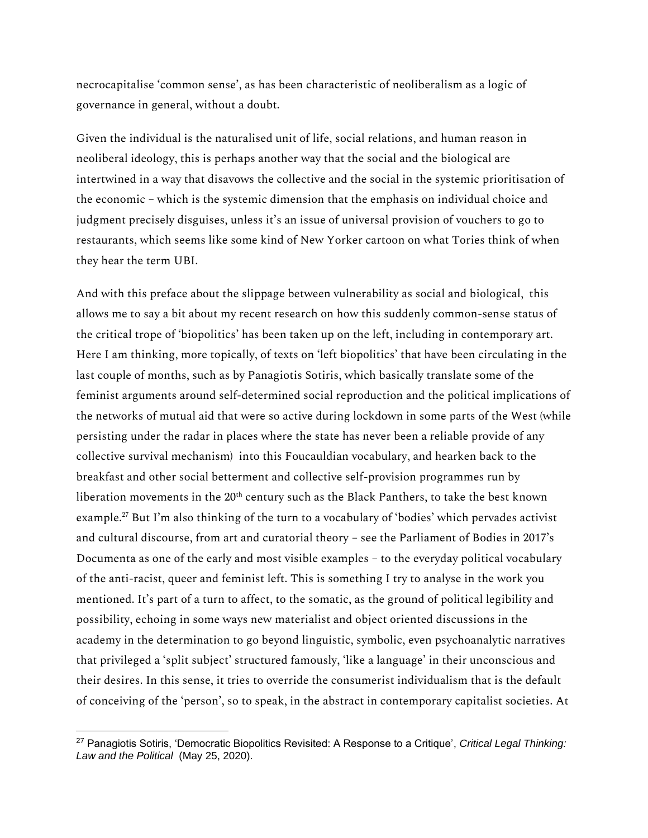necrocapitalise 'common sense', as has been characteristic of neoliberalism as a logic of governance in general, without a doubt.

Given the individual is the naturalised unit of life, social relations, and human reason in neoliberal ideology, this is perhaps another way that the social and the biological are intertwined in a way that disavows the collective and the social in the systemic prioritisation of the economic – which is the systemic dimension that the emphasis on individual choice and judgment precisely disguises, unless it's an issue of universal provision of vouchers to go to restaurants, which seems like some kind of New Yorker cartoon on what Tories think of when they hear the term UBI.

And with this preface about the slippage between vulnerability as social and biological, this allows me to say a bit about my recent research on how this suddenly common-sense status of the critical trope of 'biopolitics' has been taken up on the left, including in contemporary art. Here I am thinking, more topically, of texts on 'left biopolitics' that have been circulating in the last couple of months, such as by Panagiotis Sotiris, which basically translate some of the feminist arguments around self-determined social reproduction and the political implications of the networks of mutual aid that were so active during lockdown in some parts of the West (while persisting under the radar in places where the state has never been a reliable provide of any collective survival mechanism) into this Foucauldian vocabulary, and hearken back to the breakfast and other social betterment and collective self-provision programmes run by liberation movements in the  $20<sup>th</sup>$  century such as the Black Panthers, to take the best known example.<sup>27</sup> But I'm also thinking of the turn to a vocabulary of 'bodies' which pervades activist and cultural discourse, from art and curatorial theory – see the Parliament of Bodies in 2017's Documenta as one of the early and most visible examples – to the everyday political vocabulary of the anti-racist, queer and feminist left. This is something I try to analyse in the work you mentioned. It's part of a turn to affect, to the somatic, as the ground of political legibility and possibility, echoing in some ways new materialist and object oriented discussions in the academy in the determination to go beyond linguistic, symbolic, even psychoanalytic narratives that privileged a 'split subject' structured famously, 'like a language' in their unconscious and their desires. In this sense, it tries to override the consumerist individualism that is the default of conceiving of the 'person', so to speak, in the abstract in contemporary capitalist societies. At

<sup>27</sup> Panagiotis Sotiris, 'Democratic Biopolitics Revisited: A Response to a Critique', *Critical Legal Thinking: Law and the Political* (May 25, 2020).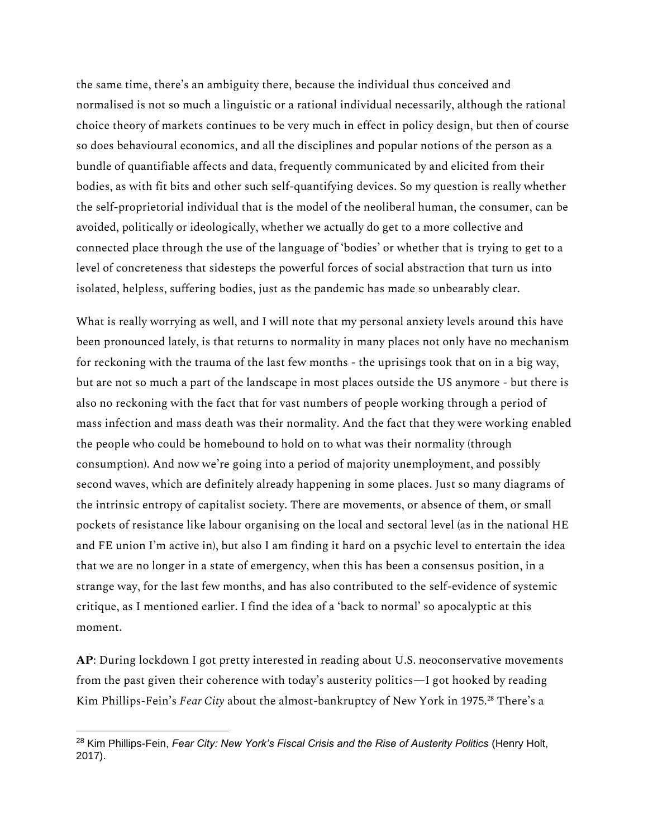the same time, there's an ambiguity there, because the individual thus conceived and normalised is not so much a linguistic or a rational individual necessarily, although the rational choice theory of markets continues to be very much in effect in policy design, but then of course so does behavioural economics, and all the disciplines and popular notions of the person as a bundle of quantifiable affects and data, frequently communicated by and elicited from their bodies, as with fit bits and other such self-quantifying devices. So my question is really whether the self-proprietorial individual that is the model of the neoliberal human, the consumer, can be avoided, politically or ideologically, whether we actually do get to a more collective and connected place through the use of the language of 'bodies' or whether that is trying to get to a level of concreteness that sidesteps the powerful forces of social abstraction that turn us into isolated, helpless, suffering bodies, just as the pandemic has made so unbearably clear.

What is really worrying as well, and I will note that my personal anxiety levels around this have been pronounced lately, is that returns to normality in many places not only have no mechanism for reckoning with the trauma of the last few months - the uprisings took that on in a big way, but are not so much a part of the landscape in most places outside the US anymore - but there is also no reckoning with the fact that for vast numbers of people working through a period of mass infection and mass death was their normality. And the fact that they were working enabled the people who could be homebound to hold on to what was their normality (through consumption). And now we're going into a period of majority unemployment, and possibly second waves, which are definitely already happening in some places. Just so many diagrams of the intrinsic entropy of capitalist society. There are movements, or absence of them, or small pockets of resistance like labour organising on the local and sectoral level (as in the national HE and FE union I'm active in), but also I am finding it hard on a psychic level to entertain the idea that we are no longer in a state of emergency, when this has been a consensus position, in a strange way, for the last few months, and has also contributed to the self-evidence of systemic critique, as I mentioned earlier. I find the idea of a 'back to normal' so apocalyptic at this moment.

**AP**: During lockdown I got pretty interested in reading about U.S. neoconservative movements from the past given their coherence with today's austerity politics—I got hooked by reading Kim Phillips-Fein's *Fear City* about the almost-bankruptcy of New York in 1975.<sup>28</sup> There's a

<sup>28</sup> Kim Phillips-Fein, *Fear City: New York's Fiscal Crisis and the Rise of Austerity Politics* (Henry Holt, 2017).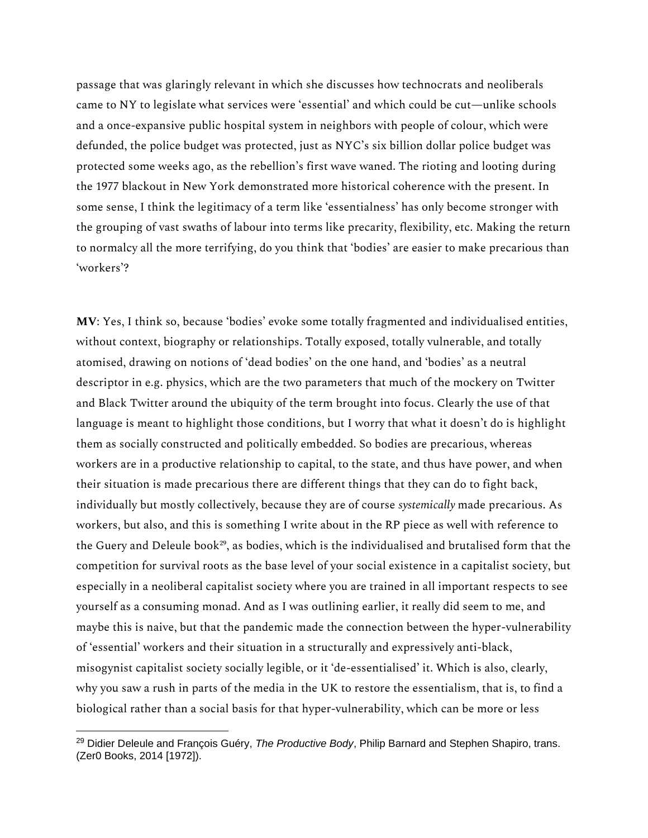passage that was glaringly relevant in which she discusses how technocrats and neoliberals came to NY to legislate what services were 'essential' and which could be cut—unlike schools and a once-expansive public hospital system in neighbors with people of colour, which were defunded, the police budget was protected, just as NYC's six billion dollar police budget was protected some weeks ago, as the rebellion's first wave waned. The rioting and looting during the 1977 blackout in New York demonstrated more historical coherence with the present. In some sense, I think the legitimacy of a term like 'essentialness' has only become stronger with the grouping of vast swaths of labour into terms like precarity, flexibility, etc. Making the return to normalcy all the more terrifying, do you think that 'bodies' are easier to make precarious than 'workers'?

**MV**: Yes, I think so, because 'bodies' evoke some totally fragmented and individualised entities, without context, biography or relationships. Totally exposed, totally vulnerable, and totally atomised, drawing on notions of 'dead bodies' on the one hand, and 'bodies' as a neutral descriptor in e.g. physics, which are the two parameters that much of the mockery on Twitter and Black Twitter around the ubiquity of the term brought into focus. Clearly the use of that language is meant to highlight those conditions, but I worry that what it doesn't do is highlight them as socially constructed and politically embedded. So bodies are precarious, whereas workers are in a productive relationship to capital, to the state, and thus have power, and when their situation is made precarious there are different things that they can do to fight back, individually but mostly collectively, because they are of course *systemically* made precarious. As workers, but also, and this is something I write about in the RP piece as well with reference to the Guery and Deleule book<sup>29</sup>, as bodies, which is the individualised and brutalised form that the competition for survival roots as the base level of your social existence in a capitalist society, but especially in a neoliberal capitalist society where you are trained in all important respects to see yourself as a consuming monad. And as I was outlining earlier, it really did seem to me, and maybe this is naive, but that the pandemic made the connection between the hyper-vulnerability of 'essential' workers and their situation in a structurally and expressively anti-black, misogynist capitalist society socially legible, or it 'de-essentialised' it. Which is also, clearly, why you saw a rush in parts of the media in the UK to restore the essentialism, that is, to find a biological rather than a social basis for that hyper-vulnerability, which can be more or less

<sup>29</sup> Didier Deleule and François Guéry, *The Productive Body*, Philip Barnard and Stephen Shapiro, trans. (Zer0 Books, 2014 [1972]).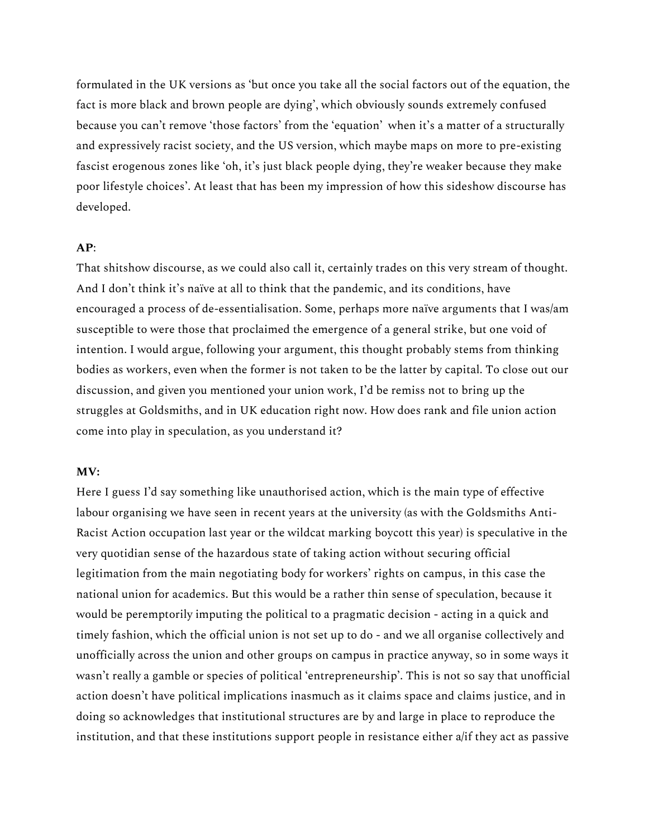formulated in the UK versions as 'but once you take all the social factors out of the equation, the fact is more black and brown people are dying', which obviously sounds extremely confused because you can't remove 'those factors' from the 'equation' when it's a matter of a structurally and expressively racist society, and the US version, which maybe maps on more to pre-existing fascist erogenous zones like 'oh, it's just black people dying, they're weaker because they make poor lifestyle choices'. At least that has been my impression of how this sideshow discourse has developed.

## **AP**:

That shitshow discourse, as we could also call it, certainly trades on this very stream of thought. And I don't think it's naïve at all to think that the pandemic, and its conditions, have encouraged a process of de-essentialisation. Some, perhaps more naïve arguments that I was/am susceptible to were those that proclaimed the emergence of a general strike, but one void of intention. I would argue, following your argument, this thought probably stems from thinking bodies as workers, even when the former is not taken to be the latter by capital. To close out our discussion, and given you mentioned your union work, I'd be remiss not to bring up the struggles at Goldsmiths, and in UK education right now. How does rank and file union action come into play in speculation, as you understand it?

#### **MV:**

Here I guess I'd say something like unauthorised action, which is the main type of effective labour organising we have seen in recent years at the university (as with the Goldsmiths Anti-Racist Action occupation last year or the wildcat marking boycott this year) is speculative in the very quotidian sense of the hazardous state of taking action without securing official legitimation from the main negotiating body for workers' rights on campus, in this case the national union for academics. But this would be a rather thin sense of speculation, because it would be peremptorily imputing the political to a pragmatic decision - acting in a quick and timely fashion, which the official union is not set up to do - and we all organise collectively and unofficially across the union and other groups on campus in practice anyway, so in some ways it wasn't really a gamble or species of political 'entrepreneurship'. This is not so say that unofficial action doesn't have political implications inasmuch as it claims space and claims justice, and in doing so acknowledges that institutional structures are by and large in place to reproduce the institution, and that these institutions support people in resistance either a/if they act as passive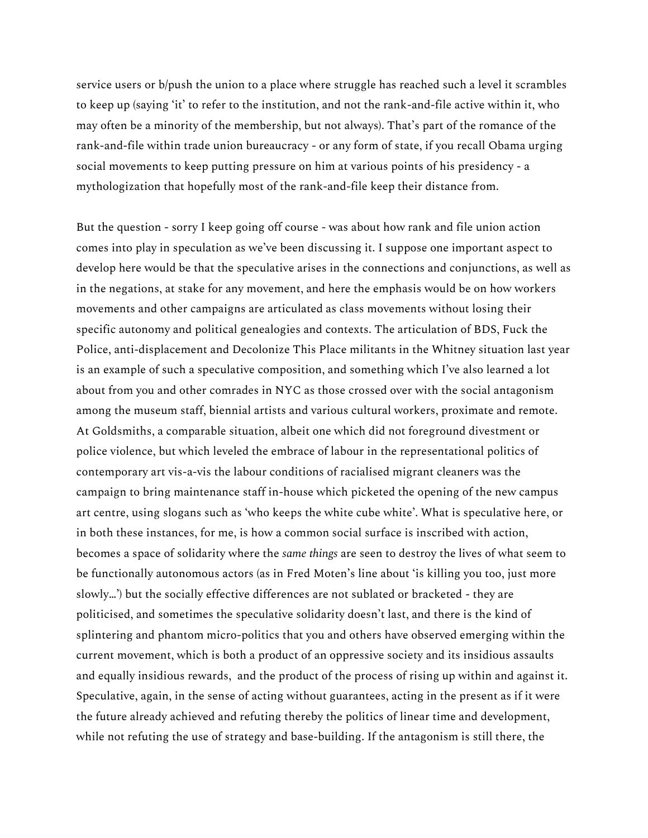service users or b/push the union to a place where struggle has reached such a level it scrambles to keep up (saying 'it' to refer to the institution, and not the rank-and-file active within it, who may often be a minority of the membership, but not always). That's part of the romance of the rank-and-file within trade union bureaucracy - or any form of state, if you recall Obama urging social movements to keep putting pressure on him at various points of his presidency - a mythologization that hopefully most of the rank-and-file keep their distance from.

But the question - sorry I keep going off course - was about how rank and file union action comes into play in speculation as we've been discussing it. I suppose one important aspect to develop here would be that the speculative arises in the connections and conjunctions, as well as in the negations, at stake for any movement, and here the emphasis would be on how workers movements and other campaigns are articulated as class movements without losing their specific autonomy and political genealogies and contexts. The articulation of BDS, Fuck the Police, anti-displacement and Decolonize This Place militants in the Whitney situation last year is an example of such a speculative composition, and something which I've also learned a lot about from you and other comrades in NYC as those crossed over with the social antagonism among the museum staff, biennial artists and various cultural workers, proximate and remote. At Goldsmiths, a comparable situation, albeit one which did not foreground divestment or police violence, but which leveled the embrace of labour in the representational politics of contemporary art vis-a-vis the labour conditions of racialised migrant cleaners was the campaign to bring maintenance staff in-house which picketed the opening of the new campus art centre, using slogans such as 'who keeps the white cube white'. What is speculative here, or in both these instances, for me, is how a common social surface is inscribed with action, becomes a space of solidarity where the *same things* are seen to destroy the lives of what seem to be functionally autonomous actors (as in Fred Moten's line about 'is killing you too, just more slowly…') but the socially effective differences are not sublated or bracketed - they are politicised, and sometimes the speculative solidarity doesn't last, and there is the kind of splintering and phantom micro-politics that you and others have observed emerging within the current movement, which is both a product of an oppressive society and its insidious assaults and equally insidious rewards, and the product of the process of rising up within and against it. Speculative, again, in the sense of acting without guarantees, acting in the present as if it were the future already achieved and refuting thereby the politics of linear time and development, while not refuting the use of strategy and base-building. If the antagonism is still there, the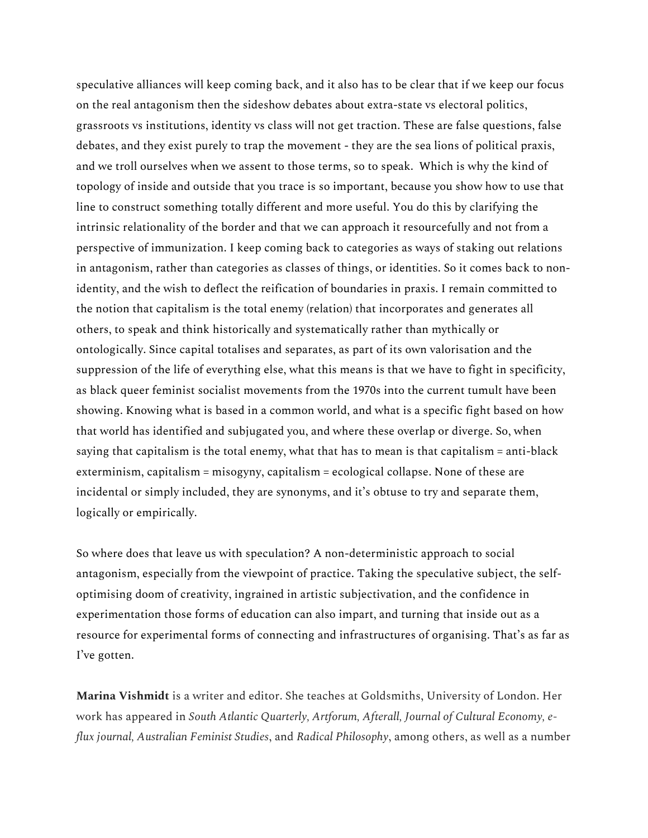speculative alliances will keep coming back, and it also has to be clear that if we keep our focus on the real antagonism then the sideshow debates about extra-state vs electoral politics, grassroots vs institutions, identity vs class will not get traction. These are false questions, false debates, and they exist purely to trap the movement - they are the sea lions of political praxis, and we troll ourselves when we assent to those terms, so to speak. Which is why the kind of topology of inside and outside that you trace is so important, because you show how to use that line to construct something totally different and more useful. You do this by clarifying the intrinsic relationality of the border and that we can approach it resourcefully and not from a perspective of immunization. I keep coming back to categories as ways of staking out relations in antagonism, rather than categories as classes of things, or identities. So it comes back to nonidentity, and the wish to deflect the reification of boundaries in praxis. I remain committed to the notion that capitalism is the total enemy (relation) that incorporates and generates all others, to speak and think historically and systematically rather than mythically or ontologically. Since capital totalises and separates, as part of its own valorisation and the suppression of the life of everything else, what this means is that we have to fight in specificity, as black queer feminist socialist movements from the 1970s into the current tumult have been showing. Knowing what is based in a common world, and what is a specific fight based on how that world has identified and subjugated you, and where these overlap or diverge. So, when saying that capitalism is the total enemy, what that has to mean is that capitalism = anti-black exterminism, capitalism = misogyny, capitalism = ecological collapse. None of these are incidental or simply included, they are synonyms, and it's obtuse to try and separate them, logically or empirically.

So where does that leave us with speculation? A non-deterministic approach to social antagonism, especially from the viewpoint of practice. Taking the speculative subject, the selfoptimising doom of creativity, ingrained in artistic subjectivation, and the confidence in experimentation those forms of education can also impart, and turning that inside out as a resource for experimental forms of connecting and infrastructures of organising. That's as far as I've gotten.

**Marina Vishmidt** is a writer and editor. She teaches at Goldsmiths, University of London. Her work has appeared in *South Atlantic Quarterly, Artforum, Afterall, Journal of Cultural Economy, eflux journal, Australian Feminist Studies*, and *Radical Philosophy*, among others, as well as a number